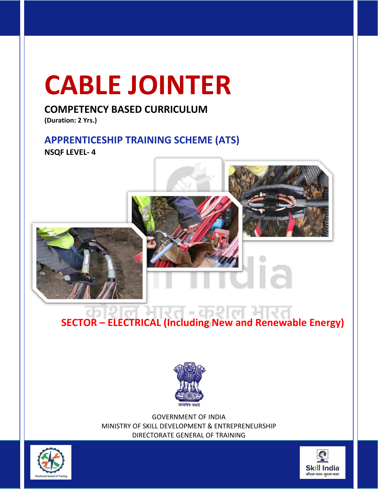# **CABLE JOINTER**

# **COMPETENCY BASED CURRICULUM**

**(Duration: 2 Yrs.)**

# **APPRENTICESHIP TRAINING SCHEME (ATS)**

**NSQF LEVEL- 4**



# **SECTOR – ELECTRICAL (Including New and Renewable Energy)**



GOVERNMENT OF INDIA MINISTRY OF SKILL DEVELOPMENT & ENTREPRENEURSHIP DIRECTORATE GENERAL OF TRAINING



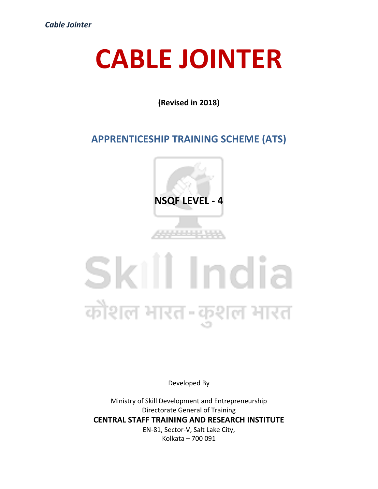# **CABLE JOINTER**

**(Revised in 2018)**

**APPRENTICESHIP TRAINING SCHEME (ATS)**



<u>ABABBE 13</u>

# Skill India कौशल भारत-कुशल भारत

Developed By

Ministry of Skill Development and Entrepreneurship Directorate General of Training **CENTRAL STAFF TRAINING AND RESEARCH INSTITUTE** EN-81, Sector-V, Salt Lake City, Kolkata – 700 091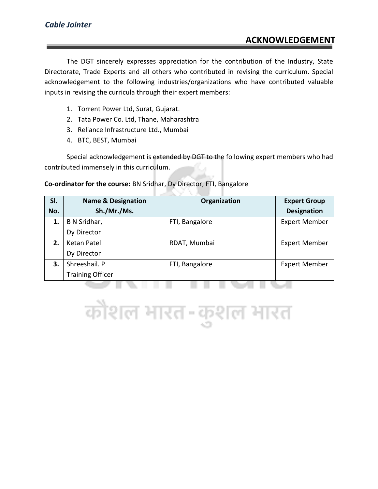The DGT sincerely expresses appreciation for the contribution of the Industry, State Directorate, Trade Experts and all others who contributed in revising the curriculum. Special acknowledgement to the following industries/organizations who have contributed valuable inputs in revising the curricula through their expert members:

- 1. Torrent Power Ltd, Surat, Gujarat.
- 2. Tata Power Co. Ltd, Thane, Maharashtra
- 3. Reliance Infrastructure Ltd., Mumbai
- 4. BTC, BEST, Mumbai

Special acknowledgement is extended by DGT to the following expert members who had contributed immensely in this curriculum.

**Co-ordinator for the course:** BN Sridhar, Dy Director, FTI, Bangalore

| SI. | <b>Name &amp; Designation</b> | Organization   | <b>Expert Group</b>  |
|-----|-------------------------------|----------------|----------------------|
| No. | Sh./Mr./Ms.                   |                | <b>Designation</b>   |
| 1.  | B N Sridhar,                  | FTI, Bangalore | <b>Expert Member</b> |
|     | Dy Director                   |                |                      |
| 2.  | Ketan Patel                   | RDAT, Mumbai   | <b>Expert Member</b> |
|     | Dy Director                   |                |                      |
| 3.  | Shreeshail. P                 | FTI, Bangalore | <b>Expert Member</b> |
|     | <b>Training Officer</b>       |                |                      |
|     |                               |                |                      |

कौशल भारत-कुशल भारत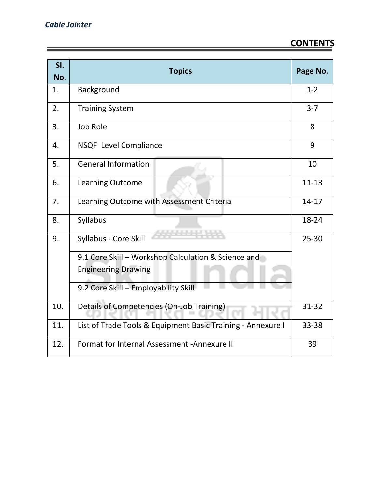# **CONTENTS**

| SI.<br>No. | <b>Topics</b>                                               | Page No.  |
|------------|-------------------------------------------------------------|-----------|
| 1.         | Background                                                  | $1 - 2$   |
| 2.         | <b>Training System</b>                                      | $3 - 7$   |
| 3.         | <b>Job Role</b>                                             | 8         |
| 4.         | <b>NSQF Level Compliance</b>                                | 9         |
| 5.         | <b>General Information</b>                                  | 10        |
| 6.         | <b>Learning Outcome</b>                                     | $11 - 13$ |
| 7.         | Learning Outcome with Assessment Criteria                   | $14 - 17$ |
| 8.         | Syllabus                                                    | 18-24     |
| 9.         | Syllabus - Core Skill                                       | $25 - 30$ |
|            | 9.1 Core Skill - Workshop Calculation & Science and         |           |
|            | <b>Engineering Drawing</b>                                  |           |
|            | 9.2 Core Skill - Employability Skill                        |           |
| 10.        | Details of Competencies (On-Job Training)                   | 31-32     |
| 11.        | List of Trade Tools & Equipment Basic Training - Annexure I | 33-38     |
| 12.        | Format for Internal Assessment - Annexure II                | 39        |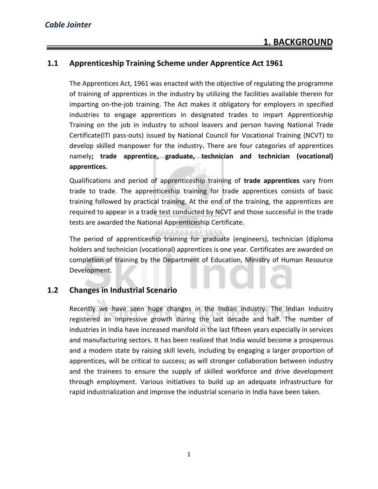#### **1.1 Apprenticeship Training Scheme under Apprentice Act 1961**

The Apprentices Act, 1961 was enacted with the objective of regulating the programme of training of apprentices in the industry by utilizing the facilities available therein for imparting on-the-job training. The Act makes it obligatory for employers in specified industries to engage apprentices in designated trades to impart Apprenticeship Training on the job in industry to school leavers and person having National Trade Certificate(ITI pass-outs) issued by National Council for Vocational Training (NCVT) to develop skilled manpower for the industry**.** There are four categories of apprentices namely**; trade apprentice, graduate, technician and technician (vocational) apprentices.** 

Qualifications and period of apprenticeship training of **trade apprentices** vary from trade to trade. The apprenticeship training for trade apprentices consists of basic training followed by practical training. At the end of the training, the apprentices are required to appear in a trade test conducted by NCVT and those successful in the trade tests are awarded the National Apprenticeship Certificate.

The period of apprenticeship training for graduate (engineers), technician (diploma holders and technician (vocational) apprentices is one year. Certificates are awarded on completion of training by the Department of Education, Ministry of Human Resource Development.

#### **1.2 Changes in Industrial Scenario**

Recently we have seen huge changes in the Indian industry. The Indian Industry registered an impressive growth during the last decade and half. The number of industries in India have increased manifold in the last fifteen years especially in services and manufacturing sectors. It has been realized that India would become a prosperous and a modern state by raising skill levels, including by engaging a larger proportion of apprentices, will be critical to success; as will stronger collaboration between industry and the trainees to ensure the supply of skilled workforce and drive development through employment. Various initiatives to build up an adequate infrastructure for rapid industrialization and improve the industrial scenario in India have been taken.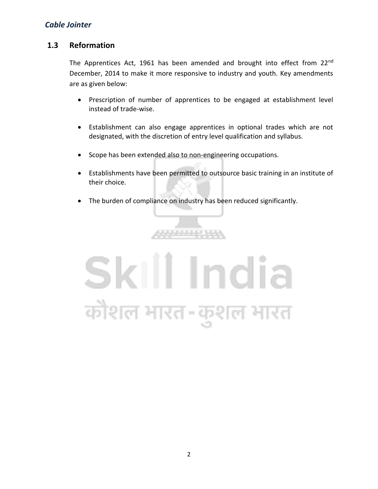# **1.3 Reformation**

The Apprentices Act, 1961 has been amended and brought into effect from 22<sup>nd</sup> December, 2014 to make it more responsive to industry and youth. Key amendments are as given below:

- Prescription of number of apprentices to be engaged at establishment level instead of trade-wise.
- Establishment can also engage apprentices in optional trades which are not designated, with the discretion of entry level qualification and syllabus.
- Scope has been extended also to non-engineering occupations.
- Establishments have been permitted to outsource basic training in an institute of their choice.
- The burden of compliance on industry has been reduced significantly.

,,,,,,,,,,,,

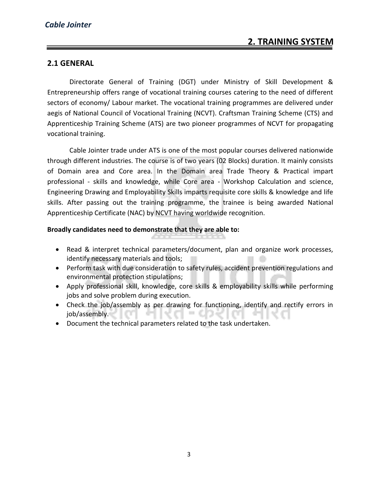#### **2.1 GENERAL**

Directorate General of Training (DGT) under Ministry of Skill Development & Entrepreneurship offers range of vocational training courses catering to the need of different sectors of economy/ Labour market. The vocational training programmes are delivered under aegis of National Council of Vocational Training (NCVT). Craftsman Training Scheme (CTS) and Apprenticeship Training Scheme (ATS) are two pioneer programmes of NCVT for propagating vocational training.

Cable Jointer trade under ATS is one of the most popular courses delivered nationwide through different industries. The course is of two years (02 Blocks) duration. It mainly consists of Domain area and Core area. In the Domain area Trade Theory & Practical impart professional - skills and knowledge, while Core area - Workshop Calculation and science, Engineering Drawing and Employability Skills imparts requisite core skills & knowledge and life skills. After passing out the training programme, the trainee is being awarded National Apprenticeship Certificate (NAC) by NCVT having worldwide recognition.

#### **Broadly candidates need to demonstrate that they are able to:**

- Read & interpret technical parameters/document, plan and organize work processes, identify necessary materials and tools;
- Perform task with due consideration to safety rules, accident prevention regulations and environmental protection stipulations;
- Apply professional skill, knowledge, core skills & employability skills while performing jobs and solve problem during execution.
- Check the job/assembly as per drawing for functioning, identify and rectify errors in job/assembly.
- Document the technical parameters related to the task undertaken.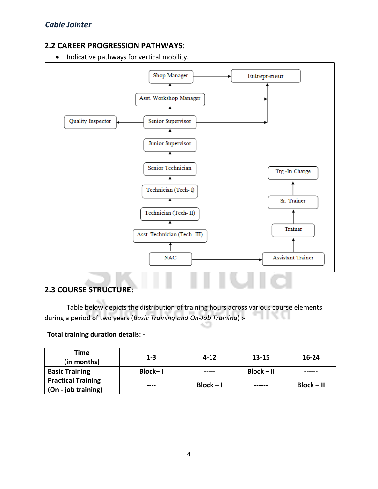# **2.2 CAREER PROGRESSION PATHWAYS**:

• Indicative pathways for vertical mobility.



# **2.3 COURSE STRUCTURE:**

Table below depicts the distribution of training hours across various course elements during a period of two years (*Basic Training and On-Job Training*) :- SS 1

### **Total training duration details: -**

| Time<br>(in months)                              | $1 - 3$ | $4 - 12$    | 13-15        | $16 - 24$    |
|--------------------------------------------------|---------|-------------|--------------|--------------|
| <b>Basic Training</b>                            | Block-1 | -----       | $Block - II$ |              |
| <b>Practical Training</b><br>(On - job training) |         | $Block - I$ | ------       | $Block - II$ |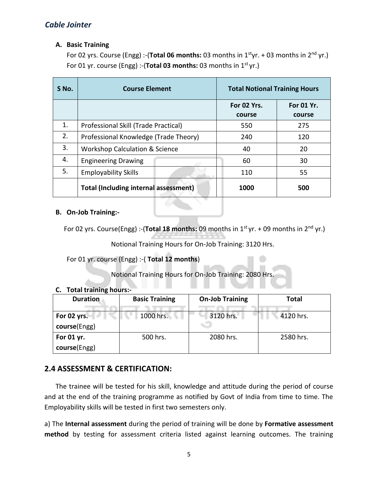#### **A. Basic Training**

For 02 yrs. Course (Engg) :-(Total 06 months: 03 months in 1<sup>st</sup>yr. + 03 months in 2<sup>nd</sup> yr.) For 01 yr. course (Engg) :-(**Total 03 months:** 03 months in 1<sup>st</sup> yr.)

| S No. | <b>Course Element</b>                        | <b>Total Notional Training Hours</b> |            |
|-------|----------------------------------------------|--------------------------------------|------------|
|       |                                              | For 02 Yrs.                          | For 01 Yr. |
|       |                                              | course                               | course     |
| 1.    | Professional Skill (Trade Practical)         | 550                                  | 275        |
| 2.    | Professional Knowledge (Trade Theory)        | 240                                  | 120        |
| 3.    | <b>Workshop Calculation &amp; Science</b>    | 40                                   | 20         |
| 4.    | <b>Engineering Drawing</b>                   | 60                                   | 30         |
| 5.    | <b>Employability Skills</b>                  | 110                                  | 55         |
|       | <b>Total (Including internal assessment)</b> | 1000                                 | 500        |

#### **B. On-Job Training:-**

For 02 yrs. Course(Engg) :-(**Total 18 months:** 09 months in 1<sup>st</sup> yr. + 09 months in 2<sup>nd</sup> yr.)

Notional Training Hours for On-Job Training: 3120 Hrs.

For 01 yr. course (Engg) :-( **Total 12 months**)

Notional Training Hours for On-Job Training: 2080 Hrs.

#### **C. Total training hours:-**

| <b>Duration</b> | <b>Basic Training</b> | <b>On-Job Training</b> | <b>Total</b> |
|-----------------|-----------------------|------------------------|--------------|
| For 02 yrs.     | 1000 hrs.             | 3120 hrs.              | 4120 hrs.    |
| course(Engg)    |                       |                        |              |
| For 01 yr.      | 500 hrs.              | 2080 hrs.              | 2580 hrs.    |
| course(Engg)    |                       |                        |              |

# **2.4 ASSESSMENT & CERTIFICATION:**

The trainee will be tested for his skill, knowledge and attitude during the period of course and at the end of the training programme as notified by Govt of India from time to time. The Employability skills will be tested in first two semesters only.

a) The **Internal assessment** during the period of training will be done by **Formative assessment method** by testing for assessment criteria listed against learning outcomes. The training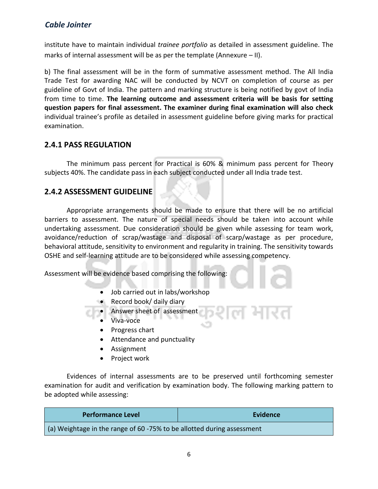institute have to maintain individual *trainee portfolio* as detailed in assessment guideline. The marks of internal assessment will be as per the template (Annexure – II).

b) The final assessment will be in the form of summative assessment method. The All India Trade Test for awarding NAC will be conducted by NCVT on completion of course as per guideline of Govt of India. The pattern and marking structure is being notified by govt of India from time to time. **The learning outcome and assessment criteria will be basis for setting question papers for final assessment. The examiner during final examination will also check**  individual trainee's profile as detailed in assessment guideline before giving marks for practical examination.

### **2.4.1 PASS REGULATION**

The minimum pass percent for Practical is 60% & minimum pass percent for Theory subjects 40%. The candidate pass in each subject conducted under all India trade test.

# **2.4.2 ASSESSMENT GUIDELINE**

Appropriate arrangements should be made to ensure that there will be no artificial barriers to assessment. The nature of special needs should be taken into account while undertaking assessment. Due consideration should be given while assessing for team work, avoidance/reduction of scrap/wastage and disposal of scarp/wastage as per procedure, behavioral attitude, sensitivity to environment and regularity in training. The sensitivity towards OSHE and self-learning attitude are to be considered while assessing competency.

Assessment will be evidence based comprising the following:

- Job carried out in labs/workshop
- Record book/ daily diary
- Answer sheet of assessment
	- Viva-voce
	- Progress chart
	- Attendance and punctuality
	- Assignment
	- Project work

Evidences of internal assessments are to be preserved until forthcoming semester examination for audit and verification by examination body. The following marking pattern to be adopted while assessing:

| <b>Performance Level</b>                                                      | Evidence |
|-------------------------------------------------------------------------------|----------|
| $\mid$ (a) Weightage in the range of 60 -75% to be allotted during assessment |          |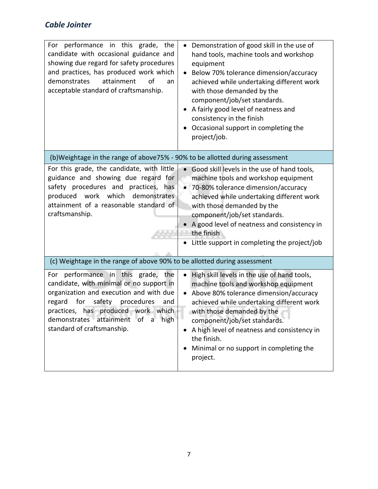| For performance in this grade, the<br>candidate with occasional guidance and<br>showing due regard for safety procedures<br>and practices, has produced work which<br>attainment<br>demonstrates<br>of<br>an<br>acceptable standard of craftsmanship.                              | Demonstration of good skill in the use of<br>$\bullet$<br>hand tools, machine tools and workshop<br>equipment<br>Below 70% tolerance dimension/accuracy<br>achieved while undertaking different work<br>with those demanded by the<br>component/job/set standards.<br>A fairly good level of neatness and<br>consistency in the finish<br>Occasional support in completing the<br>project/job. |
|------------------------------------------------------------------------------------------------------------------------------------------------------------------------------------------------------------------------------------------------------------------------------------|------------------------------------------------------------------------------------------------------------------------------------------------------------------------------------------------------------------------------------------------------------------------------------------------------------------------------------------------------------------------------------------------|
| (b) Weightage in the range of above 75% - 90% to be allotted during assessment                                                                                                                                                                                                     |                                                                                                                                                                                                                                                                                                                                                                                                |
| For this grade, the candidate, with little<br>guidance and showing due regard for<br>safety procedures and practices, has<br>produced work which<br>demonstrates<br>attainment of a reasonable standard of<br>craftsmanship.                                                       | Good skill levels in the use of hand tools,<br>machine tools and workshop equipment<br>70-80% tolerance dimension/accuracy<br>achieved while undertaking different work<br>with those demanded by the<br>component/job/set standards.<br>A good level of neatness and consistency in<br>the finish<br>Little support in completing the project/job                                             |
| (c) Weightage in the range of above 90% to be allotted during assessment                                                                                                                                                                                                           |                                                                                                                                                                                                                                                                                                                                                                                                |
| For performance in this grade, the<br>candidate, with minimal or no support in<br>organization and execution and with due<br>regard<br>for<br>safety<br>procedures<br>and<br>practices, has produced work which<br>demonstrates attainment of a high<br>standard of craftsmanship. | High skill levels in the use of hand tools,<br>machine tools and workshop equipment<br>Above 80% tolerance dimension/accuracy<br>$\bullet$<br>achieved while undertaking different work<br>with those demanded by the<br>component/job/set standards.<br>A high level of neatness and consistency in<br>the finish.<br>Minimal or no support in completing the<br>project.                     |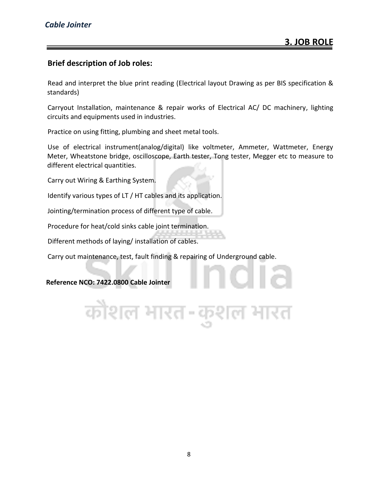#### **Brief description of Job roles:**

Read and interpret the blue print reading (Electrical layout Drawing as per BIS specification & standards)

Carryout Installation, maintenance & repair works of Electrical AC/ DC machinery, lighting circuits and equipments used in industries.

Practice on using fitting, plumbing and sheet metal tools.

Use of electrical instrument(analog/digital) like voltmeter, Ammeter, Wattmeter, Energy Meter, Wheatstone bridge, oscilloscope, Earth tester, Tong tester, Megger etc to measure to different electrical quantities.

Carry out Wiring & Earthing System.

Identify various types of LT / HT cables and its application.

Jointing/termination process of different type of cable.

Procedure for heat/cold sinks cable joint termination.

Different methods of laying/ installation of cables.

Carry out maintenance, test, fault finding & repairing of Underground cable.

**Reference NCO: 7422.0800 Cable Jointer**

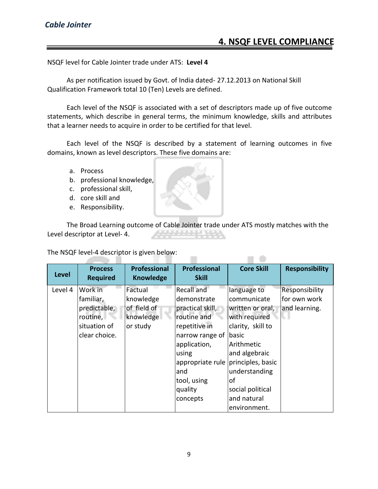# **4. NSQF LEVEL COMPLIANCE**

 $\Box$   $\Diamond$ 

NSQF level for Cable Jointer trade under ATS: **Level 4**

As per notification issued by Govt. of India dated- 27.12.2013 on National Skill Qualification Framework total 10 (Ten) Levels are defined.

Each level of the NSQF is associated with a set of descriptors made up of five outcome statements, which describe in general terms, the minimum knowledge, skills and attributes that a learner needs to acquire in order to be certified for that level.

Each level of the NSQF is described by a statement of learning outcomes in five domains, known as level descriptors. These five domains are:

- a. Process
- b. professional knowledge,
- c. professional skill,
- d. core skill and
- e. Responsibility.

The Broad Learning outcome of Cable Jointer trade under ATS mostly matches with the Level descriptor at Level- 4.

The NSQF level-4 descriptor is given below:

| <b>Level</b> | <b>Process</b><br><b>Required</b>                                                 | Professional<br><b>Knowledge</b>                             | <b>Professional</b><br><b>Skill</b>                                                              | <b>Core Skill</b>                                                                                                          | <b>Responsibility</b>                           |
|--------------|-----------------------------------------------------------------------------------|--------------------------------------------------------------|--------------------------------------------------------------------------------------------------|----------------------------------------------------------------------------------------------------------------------------|-------------------------------------------------|
| Level 4      | Work in<br>familiar,<br>predictable,<br>routine,<br>situation of<br>clear choice. | Factual<br>knowledge<br>of field of<br>knowledge<br>or study | Recall and<br>demonstrate<br>practical skill,<br>routine and<br>repetitive in<br>narrow range of | language to<br>communicate<br>written or oral,<br>with required<br>clarity, skill to<br>basic                              | Responsibility<br>for own work<br>and learning. |
|              |                                                                                   |                                                              | application,<br>using<br>appropriate rule<br>and<br>tool, using<br>quality<br>concepts           | Arithmetic<br>and algebraic<br>principles, basic<br>understanding<br>οf<br>social political<br>and natural<br>environment. |                                                 |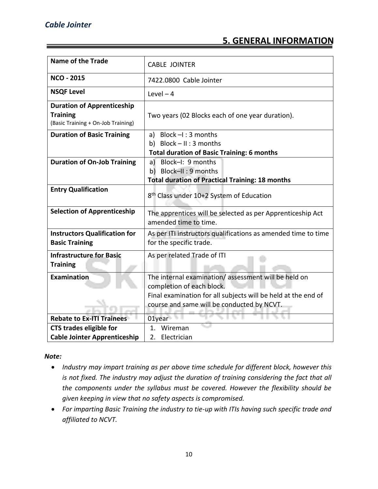# **5. GENERAL INFORMATION**

| <b>Name of the Trade</b>                                                                   | <b>CABLE JOINTER</b>                                                                                                                                                                            |  |  |
|--------------------------------------------------------------------------------------------|-------------------------------------------------------------------------------------------------------------------------------------------------------------------------------------------------|--|--|
| <b>NCO - 2015</b>                                                                          | 7422.0800 Cable Jointer                                                                                                                                                                         |  |  |
| <b>NSQF Level</b>                                                                          | Level $-4$                                                                                                                                                                                      |  |  |
| <b>Duration of Apprenticeship</b><br><b>Training</b><br>(Basic Training + On-Job Training) | Two years (02 Blocks each of one year duration).                                                                                                                                                |  |  |
| <b>Duration of Basic Training</b>                                                          | a) Block $-I$ : 3 months<br>b) Block $- II : 3$ months<br><b>Total duration of Basic Training: 6 months</b>                                                                                     |  |  |
| <b>Duration of On-Job Training</b>                                                         | a) Block-I: 9 months<br>b) Block-II: 9 months<br><b>Total duration of Practical Training: 18 months</b>                                                                                         |  |  |
| <b>Entry Qualification</b>                                                                 | 8 <sup>th</sup> Class under 10+2 System of Education                                                                                                                                            |  |  |
| <b>Selection of Apprenticeship</b>                                                         | The apprentices will be selected as per Apprenticeship Act<br>amended time to time.                                                                                                             |  |  |
| <b>Instructors Qualification for</b><br><b>Basic Training</b>                              | As per ITI instructors qualifications as amended time to time<br>for the specific trade.                                                                                                        |  |  |
| <b>Infrastructure for Basic</b><br><b>Training</b>                                         | As per related Trade of ITI                                                                                                                                                                     |  |  |
| <b>Examination</b>                                                                         | The internal examination/assessment will be held on<br>completion of each block.<br>Final examination for all subjects will be held at the end of<br>course and same will be conducted by NCVT. |  |  |
| <b>Rebate to Ex-ITI Trainees</b>                                                           | 01year                                                                                                                                                                                          |  |  |
| <b>CTS trades eligible for</b><br><b>Cable Jointer Apprenticeship</b>                      | Wireman<br>$1_{\cdot}$<br>Electrician<br>2.                                                                                                                                                     |  |  |

#### *Note:*

- *Industry may impart training as per above time schedule for different block, however this is not fixed. The industry may adjust the duration of training considering the fact that all the components under the syllabus must be covered. However the flexibility should be given keeping in view that no safety aspects is compromised.*
- *For imparting Basic Training the industry to tie-up with ITIs having such specific trade and affiliated to NCVT.*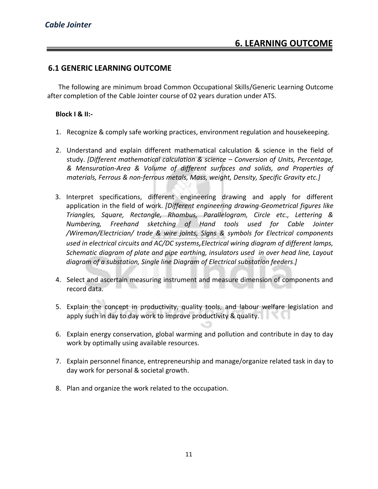#### **6.1 GENERIC LEARNING OUTCOME**

The following are minimum broad Common Occupational Skills/Generic Learning Outcome after completion of the Cable Jointer course of 02 years duration under ATS.

#### **Block I & II:-**

- 1. Recognize & comply safe working practices, environment regulation and housekeeping.
- 2. Understand and explain different mathematical calculation & science in the field of study. *[Different mathematical calculation & science – Conversion of Units, Percentage, & Mensuration-Area & Volume of different surfaces and solids, and Properties of materials, Ferrous & non-ferrous metals, Mass, weight, Density, Specific Gravity etc.]*
- 3. Interpret specifications, different engineering drawing and apply for different application in the field of work. *[Different engineering drawing-Geometrical figures like Triangles, Square, Rectangle, Rhombus, Parallelogram, Circle etc., Lettering & Numbering, Freehand sketching of Hand tools used for Cable Jointer /Wireman/Electrician/ trade & wire joints, Signs & symbols for Electrical components used in electrical circuits and AC/DC systems,Electrical wiring diagram of different lamps, Schematic diagram of plate and pipe earthing, insulators used in over head line, Layout diagram of a substation, Single line Diagram of Electrical substation feeders*.*]*
- 4. Select and ascertain measuring instrument and measure dimension of components and record data.
- 5. Explain the concept in productivity, quality tools, and labour welfare legislation and apply such in day to day work to improve productivity & quality.
- 6. Explain energy conservation, global warming and pollution and contribute in day to day work by optimally using available resources.
- 7. Explain personnel finance, entrepreneurship and manage/organize related task in day to day work for personal & societal growth.
- 8. Plan and organize the work related to the occupation.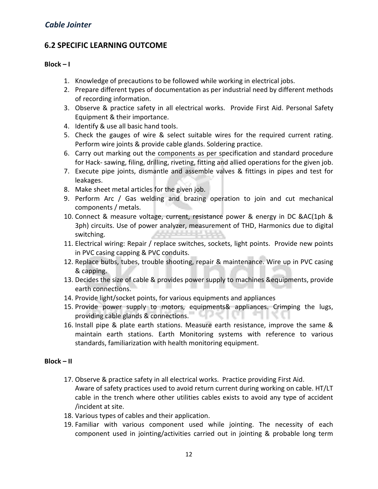# **6.2 SPECIFIC LEARNING OUTCOME**

#### **Block – I**

- 1. Knowledge of precautions to be followed while working in electrical jobs.
- 2. Prepare different types of documentation as per industrial need by different methods of recording information.
- 3. Observe & practice safety in all electrical works. Provide First Aid. Personal Safety Equipment & their importance.
- 4. Identify & use all basic hand tools.
- 5. Check the gauges of wire & select suitable wires for the required current rating. Perform wire joints & provide cable glands. Soldering practice.
- 6. Carry out marking out the components as per specification and standard procedure for Hack- sawing, filing, drilling, riveting, fitting and allied operations for the given job.
- 7. Execute pipe joints, dismantle and assemble valves & fittings in pipes and test for leakages.
- 8. Make sheet metal articles for the given job.
- 9. Perform Arc / Gas welding and brazing operation to join and cut mechanical components / metals.
- 10. Connect & measure voltage, current, resistance power & energy in DC &AC(1ph & 3ph) circuits. Use of power analyzer, measurement of THD, Harmonics due to digital switching.
- 11. Electrical wiring: Repair / replace switches, sockets, light points. Provide new points in PVC casing capping & PVC conduits.
- 12. Replace bulbs, tubes, trouble shooting, repair & maintenance. Wire up in PVC casing & capping.
- 13. Decides the size of cable & provides power supply to machines &equipments, provide earth connections.
- 14. Provide light/socket points, for various equipments and appliances
- 15. Provide power supply to motors, equipments& appliances. Crimping the lugs, providing cable glands & connections. upe
- 16. Install pipe & plate earth stations. Measure earth resistance, improve the same & maintain earth stations. Earth Monitoring systems with reference to various standards, familiarization with health monitoring equipment.

#### **Block – II**

- 17. Observe & practice safety in all electrical works. Practice providing First Aid. Aware of safety practices used to avoid return current during working on cable. HT/LT cable in the trench where other utilities cables exists to avoid any type of accident /incident at site.
- 18. Various types of cables and their application.
- 19. Familiar with various component used while jointing. The necessity of each component used in jointing/activities carried out in jointing & probable long term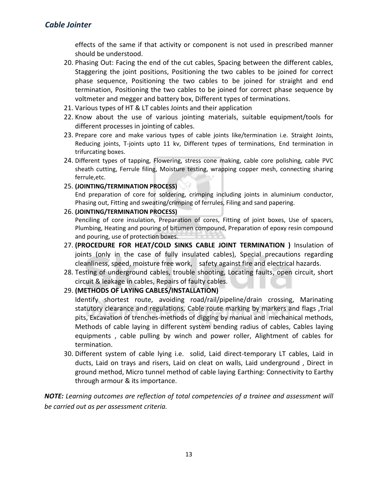effects of the same if that activity or component is not used in prescribed manner should be understood.

- 20. Phasing Out: Facing the end of the cut cables, Spacing between the different cables, Staggering the joint positions, Positioning the two cables to be joined for correct phase sequence, Positioning the two cables to be joined for straight and end termination, Positioning the two cables to be joined for correct phase sequence by voltmeter and megger and battery box, Different types of terminations.
- 21. Various types of HT & LT cables Joints and their application
- 22. Know about the use of various jointing materials, suitable equipment/tools for different processes in jointing of cables.
- 23. Prepare core and make various types of cable joints like/termination i.e. Straight Joints, Reducing joints, T-joints upto 11 kv, Different types of terminations, End termination in trifurcating boxes.
- 24. Different types of tapping, Flowering, stress cone making, cable core polishing, cable PVC sheath cutting, Ferrule filing, Moisture testing, wrapping copper mesh, connecting sharing ferrule,etc.
- 25. **(JOINTING/TERMINATION PROCESS)**

End preparation of core for soldering, crimping including joints in aluminium conductor, Phasing out, Fitting and sweating/crimping of ferrules, Filing and sand papering.

26. **(JOINTING/TERMINATION PROCESS)**

Penciling of core insulation, Preparation of cores, Fitting of joint boxes, Use of spacers, Plumbing, Heating and pouring of bitumen compound, Preparation of epoxy resin compound and pouring, use of protection boxes.

- 27. **(PROCEDURE FOR HEAT/COLD SINKS CABLE JOINT TERMINATION )** Insulation of joints (only in the case of fully insulated cables), Special precautions regarding cleanliness, speed, moisture free work, safety against fire and electrical hazards.
- 28. Testing of underground cables, trouble shooting, Locating faults, open circuit, short circuit & leakage in cables, Repairs of faulty cables.

#### 29. **(METHODS OF LAYING CABLES/INSTALLATION)**

Identify shortest route, avoiding road/rail/pipeline/drain crossing, Marinating statutory clearance and regulations, Cable route marking by markers and flags ,Trial pits, Excavation of trenches-methods of digging by manual and mechanical methods, Methods of cable laying in different system bending radius of cables, Cables laying equipments , cable pulling by winch and power roller, Alightment of cables for termination.

30. Different system of cable lying i.e. solid, Laid direct-temporary LT cables, Laid in ducts, Laid on trays and risers, Laid on cleat on walls, Laid underground , Direct in ground method, Micro tunnel method of cable laying Earthing: Connectivity to Earthy through armour & its importance.

*NOTE: Learning outcomes are reflection of total competencies of a trainee and assessment will be carried out as per assessment criteria.*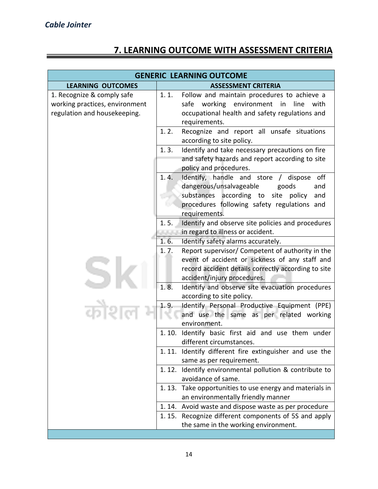# **7. LEARNING OUTCOME WITH ASSESSMENT CRITERIA**

| <b>GENERIC LEARNING OUTCOME</b>                                                              |                            |                                                                                                                                                                                                      |  |
|----------------------------------------------------------------------------------------------|----------------------------|------------------------------------------------------------------------------------------------------------------------------------------------------------------------------------------------------|--|
| <b>LEARNING OUTCOMES</b>                                                                     | <b>ASSESSMENT CRITERIA</b> |                                                                                                                                                                                                      |  |
| 1. Recognize & comply safe<br>working practices, environment<br>regulation and housekeeping. | 1.1.                       | Follow and maintain procedures to achieve a<br>working<br>environment<br>safe<br>line<br>in<br>with<br>occupational health and safety regulations and<br>requirements.                               |  |
|                                                                                              | 1.2.                       | Recognize and report all unsafe situations<br>according to site policy.                                                                                                                              |  |
|                                                                                              | 1.3.                       | Identify and take necessary precautions on fire<br>and safety hazards and report according to site<br>policy and procedures.                                                                         |  |
|                                                                                              | 1.4.                       | off<br>Identify, handle and store / dispose<br>dangerous/unsalvageable<br>goods<br>and<br>substances according to site policy<br>and<br>procedures following safety regulations and<br>requirements. |  |
|                                                                                              | 1.5.                       | Identify and observe site policies and procedures                                                                                                                                                    |  |
|                                                                                              |                            | in regard to illness or accident.                                                                                                                                                                    |  |
|                                                                                              | 1.6.                       | Identify safety alarms accurately.                                                                                                                                                                   |  |
|                                                                                              | 1.7.                       | Report supervisor/ Competent of authority in the                                                                                                                                                     |  |
|                                                                                              |                            | event of accident or sickness of any staff and                                                                                                                                                       |  |
|                                                                                              |                            | record accident details correctly according to site<br>accident/injury procedures.                                                                                                                   |  |
|                                                                                              | 1.8.                       | Identify and observe site evacuation procedures                                                                                                                                                      |  |
|                                                                                              |                            | according to site policy.                                                                                                                                                                            |  |
|                                                                                              | 1.9.                       | Identify Personal Productive Equipment (PPE)<br>and use the same as per related working<br>environment.                                                                                              |  |
|                                                                                              | 1.10.                      | Identify basic first aid and use them under<br>different circumstances.                                                                                                                              |  |
|                                                                                              |                            | 1.11. Identify different fire extinguisher and use the                                                                                                                                               |  |
|                                                                                              |                            | same as per requirement.                                                                                                                                                                             |  |
|                                                                                              | 1.12.                      | Identify environmental pollution & contribute to<br>avoidance of same.                                                                                                                               |  |
|                                                                                              | 1.13.                      | Take opportunities to use energy and materials in                                                                                                                                                    |  |
|                                                                                              |                            | an environmentally friendly manner                                                                                                                                                                   |  |
|                                                                                              | 1.14.                      | Avoid waste and dispose waste as per procedure                                                                                                                                                       |  |
|                                                                                              | 1.15.                      | Recognize different components of 5S and apply                                                                                                                                                       |  |
|                                                                                              |                            | the same in the working environment.                                                                                                                                                                 |  |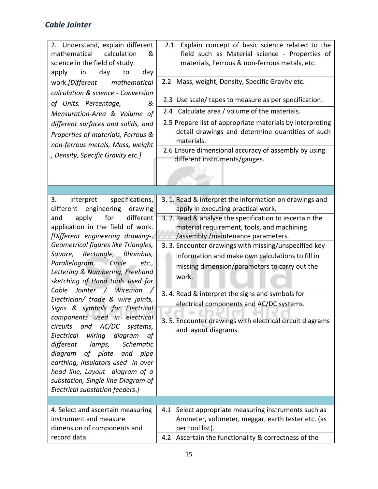| 2. Understand, explain different<br>mathematical<br>calculation<br>&<br>science in the field of study.<br>day<br>apply<br>in<br>day<br>to<br>work.[Different mathematical<br>calculation & science - Conversion<br>of Units, Percentage,<br>&<br>Mensuration-Area & Volume of<br>different surfaces and solids, and<br>Properties of materials, Ferrous &<br>non-ferrous metals, Mass, weight<br>, Density, Specific Gravity etc.] | 2.1 Explain concept of basic science related to the<br>field such as Material science - Properties of<br>materials, Ferrous & non-ferrous metals, etc.<br>2.2 Mass, weight, Density, Specific Gravity etc.<br>2.3 Use scale/ tapes to measure as per specification.<br>2.4 Calculate area / volume of the materials.<br>2.5 Prepare list of appropriate materials by interpreting<br>detail drawings and determine quantities of such<br>materials.<br>2.6 Ensure dimensional accuracy of assembly by using<br>different instruments/gauges. |
|------------------------------------------------------------------------------------------------------------------------------------------------------------------------------------------------------------------------------------------------------------------------------------------------------------------------------------------------------------------------------------------------------------------------------------|----------------------------------------------------------------------------------------------------------------------------------------------------------------------------------------------------------------------------------------------------------------------------------------------------------------------------------------------------------------------------------------------------------------------------------------------------------------------------------------------------------------------------------------------|
| specifications,<br>3.<br>Interpret<br>different engineering drawing                                                                                                                                                                                                                                                                                                                                                                | 3. 1. Read & interpret the information on drawings and<br>apply in executing practical work.                                                                                                                                                                                                                                                                                                                                                                                                                                                 |
| different<br>apply<br>for<br>and<br>application in the field of work.<br>[Different engineering drawing-<br>Geometrical figures like Triangles,<br>Square, Rectangle, Rhombus,<br>Parallelogram, Circle<br>etc.,<br>Lettering & Numbering, Freehand<br>sketching of Hand tools used for<br>Cable Jointer / Wireman<br>Electrician/ trade & wire joints,<br>Signs & symbols for Electrical                                          | 3. 2. Read & analyse the specification to ascertain the<br>material requirement, tools, and machining<br>/assembly/maintenance parameters.                                                                                                                                                                                                                                                                                                                                                                                                   |
|                                                                                                                                                                                                                                                                                                                                                                                                                                    | 3. 3. Encounter drawings with missing/unspecified key<br>information and make own calculations to fill in<br>missing dimension/parameters to carry out the<br>work.                                                                                                                                                                                                                                                                                                                                                                          |
|                                                                                                                                                                                                                                                                                                                                                                                                                                    | 3. 4. Read & interpret the signs and symbols for<br>electrical components and AC/DC systems.<br><u>– charlon</u>                                                                                                                                                                                                                                                                                                                                                                                                                             |
| components used in electrical<br>circuits<br>AC/DC<br>and<br>systems,<br>wiring<br>Electrical<br>diagram<br>of<br>different<br>lamps,<br><b>Schematic</b><br>diagram<br>of plate and pipe<br>earthing, insulators used in over<br>head line, Layout diagram of a<br>substation, Single line Diagram of<br>Electrical substation feeders.]                                                                                          | 3.5. Encounter drawings with electrical circuit diagrams<br>and layout diagrams.                                                                                                                                                                                                                                                                                                                                                                                                                                                             |
|                                                                                                                                                                                                                                                                                                                                                                                                                                    |                                                                                                                                                                                                                                                                                                                                                                                                                                                                                                                                              |
| 4. Select and ascertain measuring<br>instrument and measure<br>dimension of components and                                                                                                                                                                                                                                                                                                                                         | 4.1 Select appropriate measuring instruments such as<br>Ammeter, voltmeter, meggar, earth tester etc. (as<br>per tool list).                                                                                                                                                                                                                                                                                                                                                                                                                 |
| record data.                                                                                                                                                                                                                                                                                                                                                                                                                       | 4.2 Ascertain the functionality & correctness of the                                                                                                                                                                                                                                                                                                                                                                                                                                                                                         |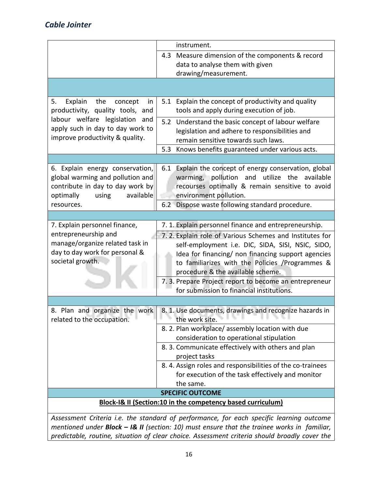|                                                                                                                                                          | instrument.                                                                                                                                                                                                                                                                                                                                                                                                                 |  |  |
|----------------------------------------------------------------------------------------------------------------------------------------------------------|-----------------------------------------------------------------------------------------------------------------------------------------------------------------------------------------------------------------------------------------------------------------------------------------------------------------------------------------------------------------------------------------------------------------------------|--|--|
|                                                                                                                                                          | 4.3 Measure dimension of the components & record<br>data to analyse them with given                                                                                                                                                                                                                                                                                                                                         |  |  |
|                                                                                                                                                          | drawing/measurement.                                                                                                                                                                                                                                                                                                                                                                                                        |  |  |
|                                                                                                                                                          |                                                                                                                                                                                                                                                                                                                                                                                                                             |  |  |
| Explain<br>the<br>5.<br>concept<br>in<br>productivity, quality tools, and                                                                                | 5.1 Explain the concept of productivity and quality<br>tools and apply during execution of job.                                                                                                                                                                                                                                                                                                                             |  |  |
| labour welfare legislation<br>and<br>apply such in day to day work to<br>improve productivity & quality.                                                 | 5.2 Understand the basic concept of labour welfare<br>legislation and adhere to responsibilities and<br>remain sensitive towards such laws.<br>Knows benefits guaranteed under various acts.<br>5.3                                                                                                                                                                                                                         |  |  |
|                                                                                                                                                          |                                                                                                                                                                                                                                                                                                                                                                                                                             |  |  |
| 6. Explain energy conservation,<br>global warming and pollution and<br>contribute in day to day work by<br>available<br>optimally<br>using<br>resources. | 6.1 Explain the concept of energy conservation, global<br>warming, pollution and utilize the available<br>recourses optimally & remain sensitive to avoid<br>environment pollution.<br>6.2 Dispose waste following standard procedure.                                                                                                                                                                                      |  |  |
|                                                                                                                                                          |                                                                                                                                                                                                                                                                                                                                                                                                                             |  |  |
| 7. Explain personnel finance,<br>entrepreneurship and<br>manage/organize related task in<br>day to day work for personal &<br>societal growth.           | 7. 1. Explain personnel finance and entrepreneurship.<br>7. 2. Explain role of Various Schemes and Institutes for<br>self-employment i.e. DIC, SIDA, SISI, NSIC, SIDO,<br>Idea for financing/ non financing support agencies<br>to familiarizes with the Policies /Programmes &<br>procedure & the available scheme.<br>7. 3. Prepare Project report to become an entrepreneur<br>for submission to financial institutions. |  |  |
|                                                                                                                                                          |                                                                                                                                                                                                                                                                                                                                                                                                                             |  |  |
| 8. Plan and organize the work<br>related to the occupation.                                                                                              | 8. 1. Use documents, drawings and recognize hazards in<br>the work site.<br>79 H<br>8. 2. Plan workplace/assembly location with due<br>consideration to operational stipulation<br>8. 3. Communicate effectively with others and plan<br>project tasks<br>8. 4. Assign roles and responsibilities of the co-trainees<br>for execution of the task effectively and monitor<br>the same.                                      |  |  |
|                                                                                                                                                          | <b>SPECIFIC OUTCOME</b>                                                                                                                                                                                                                                                                                                                                                                                                     |  |  |
|                                                                                                                                                          | Block-I& II (Section:10 in the competency based curriculum)                                                                                                                                                                                                                                                                                                                                                                 |  |  |
| Assessment Criteria i.e. the standard of performance, for each specific learning outcome                                                                 |                                                                                                                                                                                                                                                                                                                                                                                                                             |  |  |

*Assessment Criteria i.e. the standard of performance, for each specific learning outcome mentioned under Block – I& II (section: 10) must ensure that the trainee works in familiar, predictable, routine, situation of clear choice. Assessment criteria should broadly cover the*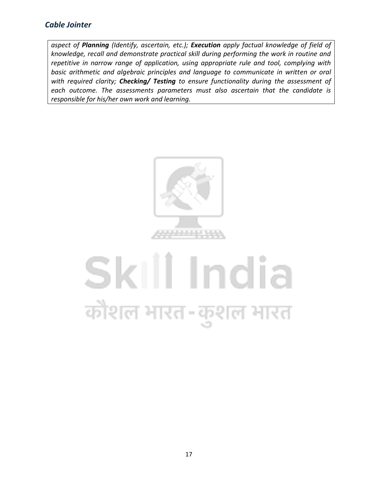*aspect of Planning (Identify, ascertain, etc.); Execution apply factual knowledge of field of knowledge, recall and demonstrate practical skill during performing the work in routine and repetitive in narrow range of application, using appropriate rule and tool, complying with basic arithmetic and algebraic principles and language to communicate in written or oral with required clarity; Checking/ Testing to ensure functionality during the assessment of each outcome. The assessments parameters must also ascertain that the candidate is responsible for his/her own work and learning.*



# Skill India कोशल भारत-कुशल भारत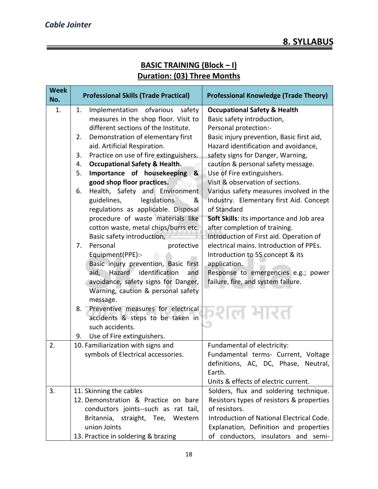# **BASIC TRAINING (Block – I) Duration: (03) Three Months**

| <b>Week</b><br>No. | <b>Professional Skills (Trade Practical)</b>                                                                                                                                                                                                                                                | <b>Professional Knowledge (Trade Theory)</b>                                                                                                                                                                                                                                                             |  |
|--------------------|---------------------------------------------------------------------------------------------------------------------------------------------------------------------------------------------------------------------------------------------------------------------------------------------|----------------------------------------------------------------------------------------------------------------------------------------------------------------------------------------------------------------------------------------------------------------------------------------------------------|--|
| 1.                 | ofvarious<br>Implementation<br>1.<br>safety<br>measures in the shop floor. Visit to<br>different sections of the Institute.                                                                                                                                                                 | <b>Occupational Safety &amp; Health</b><br>Basic safety introduction,<br>Personal protection:-                                                                                                                                                                                                           |  |
|                    | Demonstration of elementary first<br>2.                                                                                                                                                                                                                                                     | Basic injury prevention, Basic first aid,                                                                                                                                                                                                                                                                |  |
|                    | aid. Artificial Respiration.                                                                                                                                                                                                                                                                | Hazard identification and avoidance,                                                                                                                                                                                                                                                                     |  |
|                    | Practice on use of fire extinguishers.<br>3.                                                                                                                                                                                                                                                | safety signs for Danger, Warning,                                                                                                                                                                                                                                                                        |  |
|                    | <b>Occupational Safety &amp; Health.</b><br>4.                                                                                                                                                                                                                                              | caution & personal safety message.                                                                                                                                                                                                                                                                       |  |
|                    | Importance of housekeeping<br>5.<br>&                                                                                                                                                                                                                                                       | Use of Fire extinguishers.                                                                                                                                                                                                                                                                               |  |
|                    | good shop floor practices.<br>Health, Safety and<br>Environment<br>6.<br>guidelines,<br>legislations<br>&<br>regulations as applicable. Disposal<br>procedure of waste materials like<br>cotton waste, metal chips/burrs etc.<br>Basic safety introduction,<br>Personal<br>7.<br>protective | Visit & observation of sections.<br>Various safety measures involved in the<br>Industry. Elementary first Aid. Concept<br>of Standard<br>Soft Skills: its importance and Job area<br>after completion of training.<br>Introduction of First aid. Operation of<br>electrical mains. Introduction of PPEs. |  |
|                    | Equipment(PPE):-<br>Basic injury prevention, Basic first<br>aid, Hazard identification<br>and<br>avoidance, safety signs for Danger,<br>Warning, caution & personal safety<br>message.<br>Preventive measures for electrical<br>8.<br>accidents & steps to be taken in                      | Introduction to 5S concept & its<br>application.<br>Response to emergencies e.g.; power<br>failure, fire, and system failure.                                                                                                                                                                            |  |
|                    | such accidents.<br>Use of Fire extinguishers.<br>9.                                                                                                                                                                                                                                         |                                                                                                                                                                                                                                                                                                          |  |
| 2.                 | 10. Familiarization with signs and                                                                                                                                                                                                                                                          | Fundamental of electricity:                                                                                                                                                                                                                                                                              |  |
|                    | symbols of Electrical accessories.                                                                                                                                                                                                                                                          | Fundamental terms- Current, Voltage<br>definitions, AC, DC, Phase, Neutral,<br>Earth.<br>Units & effects of electric current.                                                                                                                                                                            |  |
| 3.                 | 11. Skinning the cables                                                                                                                                                                                                                                                                     | Solders, flux and soldering technique.                                                                                                                                                                                                                                                                   |  |
|                    | 12. Demonstration & Practice on bare                                                                                                                                                                                                                                                        | Resistors types of resistors & properties                                                                                                                                                                                                                                                                |  |
|                    | conductors joints--such as rat tail,                                                                                                                                                                                                                                                        | of resistors.                                                                                                                                                                                                                                                                                            |  |
|                    | Britannia, straight, Tee, Western<br>union Joints                                                                                                                                                                                                                                           | Introduction of National Electrical Code.                                                                                                                                                                                                                                                                |  |
|                    | 13. Practice in soldering & brazing                                                                                                                                                                                                                                                         | Explanation, Definition and properties<br>of conductors, insulators and semi-                                                                                                                                                                                                                            |  |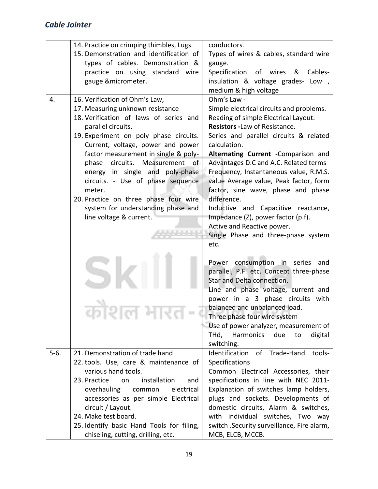|        | 14. Practice on crimping thimbles, Lugs.   | conductors.                                |
|--------|--------------------------------------------|--------------------------------------------|
|        | 15. Demonstration and identification of    | Types of wires & cables, standard wire     |
|        | types of cables. Demonstration &           | gauge.                                     |
|        | practice on using standard wire            | Specification of wires &<br>Cables-        |
|        | gauge &micrometer.                         | insulation & voltage grades- Low,          |
|        |                                            | medium & high voltage                      |
| 4.     | 16. Verification of Ohm's Law,             | Ohm's Law -                                |
|        | 17. Measuring unknown resistance           | Simple electrical circuits and problems.   |
|        | 18. Verification of laws of series and     | Reading of simple Electrical Layout.       |
|        | parallel circuits.                         | <b>Resistors -Law of Resistance.</b>       |
|        | 19. Experiment on poly phase circuits.     | Series and parallel circuits & related     |
|        | Current, voltage, power and power          | calculation.                               |
|        | factor measurement in single & poly-       | Alternating Current -Comparison and        |
|        | circuits. Measurement<br>phase<br>οf       | Advantages D.C and A.C. Related terms      |
|        | energy in single and poly-phase            | Frequency, Instantaneous value, R.M.S.     |
|        | circuits. - Use of phase sequence          | value Average value, Peak factor, form     |
|        | meter.                                     | factor, sine wave, phase and phase         |
|        | 20. Practice on three phase four wire      | difference.                                |
|        | system for understanding phase and         | Inductive and Capacitive reactance,        |
|        | line voltage & current.                    | Impedance (Z), power factor (p.f).         |
|        |                                            | Active and Reactive power.                 |
|        |                                            | Single Phase and three-phase system        |
|        |                                            | etc.                                       |
|        |                                            |                                            |
|        |                                            | Power consumption in series<br>and         |
|        |                                            | parallel, P.F. etc. Concept three-phase    |
|        |                                            | Star and Delta connection.                 |
|        |                                            | Line and phase voltage, current and        |
|        |                                            | power in a 3 phase circuits with           |
|        |                                            | balanced and unbalanced load.              |
|        | <b>The Contract</b><br>n.<br>H.            | Three phase four wire system               |
|        |                                            | Use of power analyzer, measurement of      |
|        |                                            | THd, Harmonics<br>due<br>to<br>digital     |
|        |                                            | switching.                                 |
| $5-6.$ | 21. Demonstration of trade hand            | Identification of Trade-Hand tools-        |
|        | 22. tools. Use, care & maintenance of      | Specifications                             |
|        | various hand tools.                        | Common Electrical Accessories, their       |
|        | 23. Practice<br>installation<br>and<br>on. | specifications in line with NEC 2011-      |
|        | overhauling<br>electrical<br>common        | Explanation of switches lamp holders,      |
|        | accessories as per simple Electrical       | plugs and sockets. Developments of         |
|        | circuit / Layout.                          | domestic circuits, Alarm & switches,       |
|        | 24. Make test board.                       | with individual switches, Two way          |
|        | 25. Identify basic Hand Tools for filing,  | switch .Security surveillance, Fire alarm, |
|        | chiseling, cutting, drilling, etc.         | MCB, ELCB, MCCB.                           |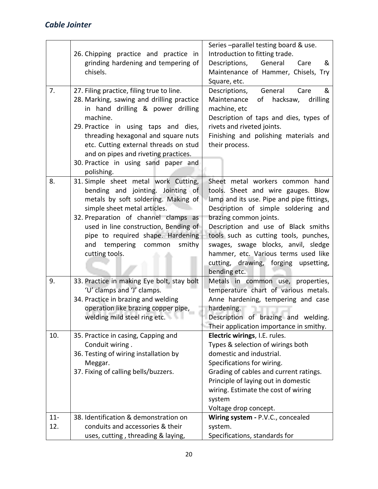|        |                                            | Series-parallel testing board & use.      |
|--------|--------------------------------------------|-------------------------------------------|
|        | 26. Chipping practice and practice in      | Introduction to fitting trade.            |
|        | grinding hardening and tempering of        | General<br>Descriptions,<br>Care<br>&     |
|        | chisels.                                   | Maintenance of Hammer, Chisels, Try       |
|        |                                            | Square, etc.                              |
| 7.     | 27. Filing practice, filing true to line.  | &<br>Descriptions,<br>General<br>Care     |
|        | 28. Marking, sawing and drilling practice  | hacksaw,<br>drilling<br>Maintenance<br>of |
|        | in hand drilling & power drilling          | machine, etc                              |
|        | machine.                                   | Description of taps and dies, types of    |
|        | 29. Practice in using taps and dies,       | rivets and riveted joints.                |
|        | threading hexagonal and square nuts        | Finishing and polishing materials and     |
|        | etc. Cutting external threads on stud      | their process.                            |
|        | and on pipes and riveting practices.       |                                           |
|        | 30. Practice in using sand paper and       |                                           |
|        | polishing.                                 |                                           |
| 8.     | 31. Simple sheet metal work Cutting,       | Sheet metal workers common hand           |
|        | bending and jointing. Jointing of          | tools. Sheet and wire gauges. Blow        |
|        | metals by soft soldering. Making of        | lamp and its use. Pipe and pipe fittings, |
|        | simple sheet metal articles.               | Description of simple soldering and       |
|        | 32. Preparation of channel clamps as       | brazing common joints.                    |
|        | used in line construction, Bending of      | Description and use of Black smiths       |
|        | pipe to required shape. Hardening          | tools such as cutting tools, punches,     |
|        | tempering<br>and<br>common<br>smithy       | swages, swage blocks, anvil, sledge       |
|        | cutting tools.                             | hammer, etc. Various terms used like      |
|        |                                            | cutting, drawing, forging upsetting,      |
|        |                                            | bending etc.                              |
| 9.     | 33. Practice in making Eye bolt, stay bolt | Metals in common use, properties,         |
|        | 'U' clamps and 'J' clamps.                 | temperature chart of various metals.      |
|        | 34. Practice in brazing and welding        | Anne hardening, tempering and case        |
|        | operation like brazing copper pipe,        | hardening.                                |
|        | welding mild steel ring etc.               | Description of brazing and welding.       |
|        |                                            | Their application importance in smithy.   |
| 10.    | 35. Practice in casing, Capping and        | Electric wirings, I.E. rules.             |
|        | Conduit wiring.                            | Types & selection of wirings both         |
|        | 36. Testing of wiring installation by      | domestic and industrial.                  |
|        | Meggar.                                    | Specifications for wiring.                |
|        | 37. Fixing of calling bells/buzzers.       | Grading of cables and current ratings.    |
|        |                                            | Principle of laying out in domestic       |
|        |                                            | wiring. Estimate the cost of wiring       |
|        |                                            | system                                    |
|        |                                            | Voltage drop concept.                     |
| $11 -$ | 38. Identification & demonstration on      | Wiring system - P.V.C., concealed         |
| 12.    | conduits and accessories & their           | system.                                   |
|        | uses, cutting, threading & laying,         | Specifications, standards for             |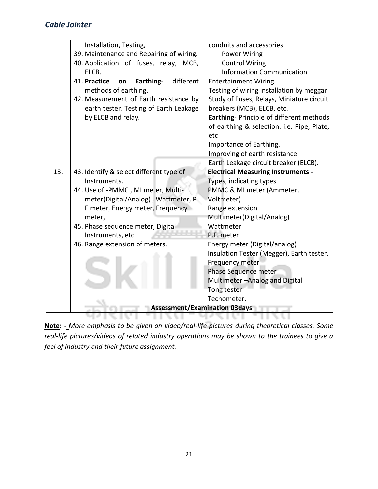|     | Installation, Testing,                       | conduits and accessories                   |
|-----|----------------------------------------------|--------------------------------------------|
|     | 39. Maintenance and Repairing of wiring.     | <b>Power Wiring</b>                        |
|     | 40. Application of fuses, relay, MCB,        | <b>Control Wiring</b>                      |
|     | ELCB.                                        | <b>Information Communication</b>           |
|     | different<br>41. Practice<br>Earthing-<br>on | Entertainment Wiring.                      |
|     | methods of earthing.                         | Testing of wiring installation by meggar   |
|     | 42. Measurement of Earth resistance by       | Study of Fuses, Relays, Miniature circuit  |
|     | earth tester. Testing of Earth Leakage       | breakers (MCB), ELCB, etc.                 |
|     | by ELCB and relay.                           | Earthing- Principle of different methods   |
|     |                                              | of earthing & selection. i.e. Pipe, Plate, |
|     |                                              | etc                                        |
|     |                                              | Importance of Earthing.                    |
|     |                                              | Improving of earth resistance              |
|     |                                              | Earth Leakage circuit breaker (ELCB).      |
| 13. | 43. Identify & select different type of      | <b>Electrical Measuring Instruments -</b>  |
|     | Instruments.                                 | Types, indicating types                    |
|     | 44. Use of -PMMC, MI meter, Multi-           | PMMC & MI meter (Ammeter,                  |
|     | meter(Digital/Analog), Wattmeter, P          | Voltmeter)                                 |
|     | F meter, Energy meter, Frequency             | Range extension                            |
|     | meter,                                       | Multimeter(Digital/Analog)                 |
|     | 45. Phase sequence meter, Digital            | Wattmeter                                  |
|     | Instruments, etc                             | P.F. meter                                 |
|     | 46. Range extension of meters.               | Energy meter (Digital/analog)              |
|     |                                              | Insulation Tester (Megger), Earth tester.  |
|     |                                              | Frequency meter                            |
|     |                                              | Phase Sequence meter                       |
|     |                                              | Multimeter-Analog and Digital              |
|     |                                              | Tong tester                                |
|     |                                              | Techometer.                                |
|     | <b>Assessment/Examination 03days</b>         |                                            |

**Note: -** *More emphasis to be given on video/real-life pictures during theoretical classes. Some real-life pictures/videos of related industry operations may be shown to the trainees to give a feel of Industry and their future assignment.*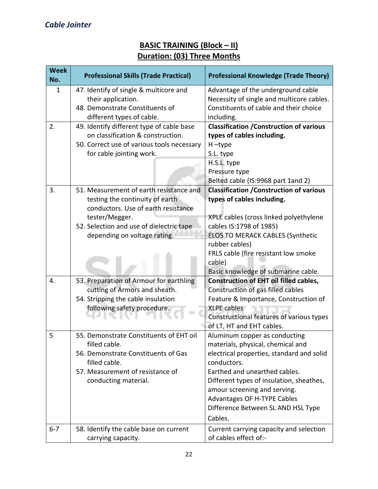| <b>Week</b><br>No. | <b>Professional Skills (Trade Practical)</b>                                                                                                                                                                    | <b>Professional Knowledge (Trade Theory)</b>                                                                                                                                                                                                                                                                                |
|--------------------|-----------------------------------------------------------------------------------------------------------------------------------------------------------------------------------------------------------------|-----------------------------------------------------------------------------------------------------------------------------------------------------------------------------------------------------------------------------------------------------------------------------------------------------------------------------|
| $\mathbf{1}$       | 47. Identify of single & multicore and<br>their application.<br>48. Demonstrate Constituents of<br>different types of cable.                                                                                    | Advantage of the underground cable<br>Necessity of single and multicore cables.<br>Constituents of cable and their choice<br>including.                                                                                                                                                                                     |
| 2.                 | 49. Identify different type of cable base<br>on classification & construction.<br>50. Correct use of various tools necessary<br>for cable jointing work.                                                        | <b>Classification / Construction of various</b><br>types of cables including.<br>$H$ -type<br>S.L. type<br>H.S.L. type<br>Pressure type<br>Belted cable (IS:9968 part 1and 2)                                                                                                                                               |
| 3.                 | 51. Measurement of earth resistance and<br>testing the continuity of earth<br>conductors. Use of earth resistance<br>tester/Megger.<br>52. Selection and use of dielectric tape<br>depending on voltage rating. | <b>Classification / Construction of various</b><br>types of cables including.<br>XPLE cables (cross linked polyethylene<br>cables IS:1798 of 1985)<br>ELOS TO MERACK CABLES (Synthetic<br>rubber cables)<br>FRLS cable (fire resistant low smoke<br>cable)<br>Basic knowledge of submarine cable.                           |
| 4.                 | 53. Preparation of Armour for earthling<br>cutting of Armors and sheath.<br>54. Stripping the cable insulation<br>following safety procedure.                                                                   | <b>Construction of EHT oil filled cables,</b><br>Construction of gas filled cables<br>Feature & Importance, Construction of<br><b>XLPE</b> cables<br>Constructional features of various types<br>of LT, HT and EHT cables.                                                                                                  |
| 5                  | 55. Demonstrate Constituents of EHT oil<br>filled cable.<br>56. Demonstrate Constituents of Gas<br>filled cable.<br>57. Measurement of resistance of<br>conducting material.                                    | Aluminum copper as conducting<br>materials, physical, chemical and<br>electrical properties, standard and solid<br>conductors.<br>Earthed and unearthed cables.<br>Different types of insulation, sheathes,<br>amour screening and serving.<br>Advantages OF H-TYPE Cables<br>Difference Between SL AND HSL Type<br>Cables. |
| $6 - 7$            | 58. Identify the cable base on current<br>carrying capacity.                                                                                                                                                    | Current carrying capacity and selection<br>of cables effect of:-                                                                                                                                                                                                                                                            |

# **BASIC TRAINING (Block – II) Duration: (03) Three Months**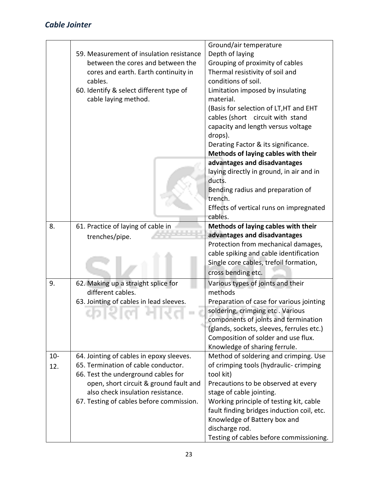|       |                                          | Ground/air temperature                     |
|-------|------------------------------------------|--------------------------------------------|
|       | 59. Measurement of insulation resistance | Depth of laying                            |
|       | between the cores and between the        | Grouping of proximity of cables            |
|       | cores and earth. Earth continuity in     | Thermal resistivity of soil and            |
|       | cables.                                  | conditions of soil.                        |
|       | 60. Identify & select different type of  | Limitation imposed by insulating           |
|       | cable laying method.                     | material.                                  |
|       |                                          | (Basis for selection of LT, HT and EHT     |
|       |                                          | cables (short circuit with stand           |
|       |                                          | capacity and length versus voltage         |
|       |                                          | drops).                                    |
|       |                                          | Derating Factor & its significance.        |
|       |                                          | Methods of laying cables with their        |
|       |                                          | advantages and disadvantages               |
|       |                                          | laying directly in ground, in air and in   |
|       |                                          | ducts.                                     |
|       |                                          | Bending radius and preparation of          |
|       |                                          | trench.                                    |
|       |                                          | Effects of vertical runs on impregnated    |
|       |                                          | cables.                                    |
| 8.    | 61. Practice of laying of cable in       | Methods of laying cables with their        |
|       |                                          | advantages and disadvantages               |
|       | trenches/pipe.                           | Protection from mechanical damages,        |
|       |                                          | cable spiking and cable identification     |
|       |                                          | Single core cables, trefoil formation,     |
|       |                                          | cross bending etc.                         |
|       |                                          |                                            |
| 9.    | 62. Making up a straight splice for      | Various types of joints and their          |
|       | different cables.                        | methods                                    |
|       | 63. Jointing of cables in lead sleeves.  | Preparation of case for various jointing   |
|       |                                          | soldering, crimping etc. Various           |
|       |                                          | components of joints and termination       |
|       |                                          | (glands, sockets, sleeves, ferrules etc.)  |
|       |                                          | Composition of solder and use flux.        |
|       |                                          | Knowledge of sharing ferrule.              |
| $10-$ | 64. Jointing of cables in epoxy sleeves. | Method of soldering and crimping. Use      |
| 12.   | 65. Termination of cable conductor.      | of crimping tools (hydraulic-crimping      |
|       | 66. Test the underground cables for      | tool kit)                                  |
|       | open, short circuit & ground fault and   | Precautions to be observed at every        |
|       | also check insulation resistance.        | stage of cable jointing.                   |
|       | 67. Testing of cables before commission. | Working principle of testing kit, cable    |
|       |                                          | fault finding bridges induction coil, etc. |
|       |                                          | Knowledge of Battery box and               |
|       |                                          | discharge rod.                             |
|       |                                          | Testing of cables before commissioning.    |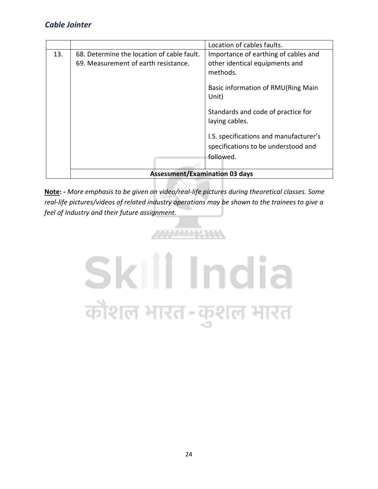|     |                                                                                    | Location of cables faults.                                                                                                                                                                |
|-----|------------------------------------------------------------------------------------|-------------------------------------------------------------------------------------------------------------------------------------------------------------------------------------------|
| 13. | 68. Determine the location of cable fault.<br>69. Measurement of earth resistance. | Importance of earthing of cables and<br>other identical equipments and<br>methods.<br>Basic information of RMU(Ring Main<br>Unit)<br>Standards and code of practice for<br>laying cables. |
|     | <b>Assessment/Examination 03 days</b>                                              | I.S. specifications and manufacturer's<br>specifications to be understood and<br>followed.                                                                                                |

**Note: -** *More emphasis to be given on video/real-life pictures during theoretical classes. Some real-life pictures/videos of related industry operations may be shown to the trainees to give a feel of Industry and their future assignment.*

555555555555

# Skill India कौशल भारत-कुशल भारत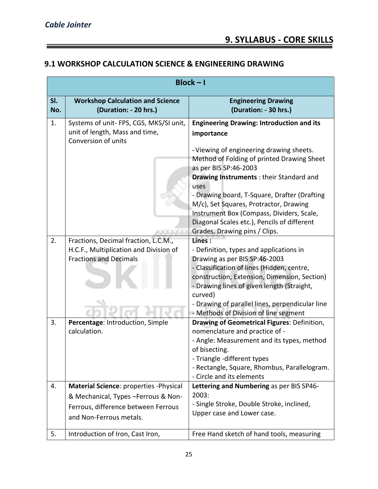Ξ

# **9.1 WORKSHOP CALCULATION SCIENCE & ENGINEERING DRAWING**

|            | $Block - I$                                                                                      |                                                                                                                                                                     |  |
|------------|--------------------------------------------------------------------------------------------------|---------------------------------------------------------------------------------------------------------------------------------------------------------------------|--|
| SI.<br>No. | <b>Workshop Calculation and Science</b><br>(Duration: - 20 hrs.)                                 | <b>Engineering Drawing</b><br>(Duration: - 30 hrs.)                                                                                                                 |  |
| 1.         | Systems of unit- FPS, CGS, MKS/SI unit,<br>unit of length, Mass and time,<br>Conversion of units | <b>Engineering Drawing: Introduction and its</b><br>importance                                                                                                      |  |
|            |                                                                                                  | -Viewing of engineering drawing sheets.<br>Method of Folding of printed Drawing Sheet<br>as per BIS SP:46-2003                                                      |  |
|            |                                                                                                  | Drawing Instruments : their Standard and<br>uses<br>- Drawing board, T-Square, Drafter (Drafting                                                                    |  |
|            |                                                                                                  | M/c), Set Squares, Protractor, Drawing<br>Instrument Box (Compass, Dividers, Scale,<br>Diagonal Scales etc.), Pencils of different<br>Grades, Drawing pins / Clips. |  |
| 2.         | Fractions, Decimal fraction, L.C.M.,                                                             | Lines:                                                                                                                                                              |  |
|            | H.C.F., Multiplication and Division of                                                           | - Definition, types and applications in                                                                                                                             |  |
|            | <b>Fractions and Decimals</b>                                                                    | Drawing as per BIS SP:46-2003                                                                                                                                       |  |
|            |                                                                                                  | - Classification of lines (Hidden, centre,                                                                                                                          |  |
|            |                                                                                                  | construction, Extension, Dimension, Section)                                                                                                                        |  |
|            |                                                                                                  | - Drawing lines of given length (Straight,                                                                                                                          |  |
|            |                                                                                                  | curved)                                                                                                                                                             |  |
|            |                                                                                                  | - Drawing of parallel lines, perpendicular line<br>- Methods of Division of line segment                                                                            |  |
| 3.         | Percentage: Introduction, Simple                                                                 | Drawing of Geometrical Figures: Definition,                                                                                                                         |  |
|            | calculation.                                                                                     | nomenclature and practice of -                                                                                                                                      |  |
|            |                                                                                                  | - Angle: Measurement and its types, method<br>of bisecting.                                                                                                         |  |
|            |                                                                                                  | - Triangle -different types                                                                                                                                         |  |
|            |                                                                                                  | - Rectangle, Square, Rhombus, Parallelogram.                                                                                                                        |  |
|            |                                                                                                  | - Circle and its elements                                                                                                                                           |  |
| 4.         | Material Science: properties -Physical                                                           | Lettering and Numbering as per BIS SP46-                                                                                                                            |  |
|            | & Mechanical, Types - Ferrous & Non-                                                             | 2003:                                                                                                                                                               |  |
|            | Ferrous, difference between Ferrous                                                              | - Single Stroke, Double Stroke, inclined,                                                                                                                           |  |
|            | and Non-Ferrous metals.                                                                          | Upper case and Lower case.                                                                                                                                          |  |
| 5.         | Introduction of Iron, Cast Iron,                                                                 | Free Hand sketch of hand tools, measuring                                                                                                                           |  |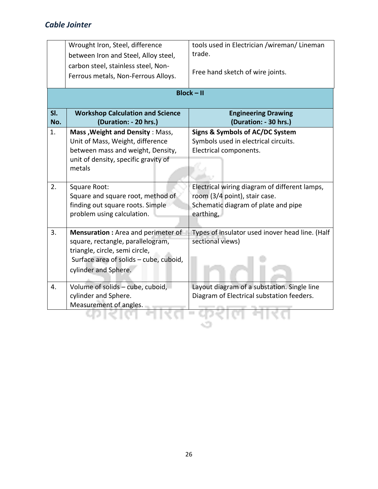|            | Wrought Iron, Steel, difference<br>between Iron and Steel, Alloy steel,<br>carbon steel, stainless steel, Non-<br>Ferrous metals, Non-Ferrous Alloys.                       | tools used in Electrician /wireman/ Lineman<br>trade.<br>Free hand sketch of wire joints.<br><b>Block-II</b>                       |
|------------|-----------------------------------------------------------------------------------------------------------------------------------------------------------------------------|------------------------------------------------------------------------------------------------------------------------------------|
| SI.<br>No. | <b>Workshop Calculation and Science</b><br>(Duration: - 20 hrs.)                                                                                                            | <b>Engineering Drawing</b><br>(Duration: - 30 hrs.)                                                                                |
| 1.         | Mass, Weight and Density: Mass,<br>Unit of Mass, Weight, difference<br>between mass and weight, Density,<br>unit of density, specific gravity of<br>metals                  | Signs & Symbols of AC/DC System<br>Symbols used in electrical circuits.<br>Electrical components.                                  |
| 2.         | Square Root:<br>Square and square root, method of<br>finding out square roots. Simple<br>problem using calculation.                                                         | Electrical wiring diagram of different lamps,<br>room (3/4 point), stair case.<br>Schematic diagram of plate and pipe<br>earthing, |
| 3.         | Mensuration: Area and perimeter of<br>square, rectangle, parallelogram,<br>triangle, circle, semi circle,<br>Surface area of solids - cube, cuboid,<br>cylinder and Sphere. | Types of insulator used inover head line. (Half<br>sectional views)                                                                |
| 4.         | Volume of solids - cube, cuboid,<br>cylinder and Sphere.<br>Measurement of angles.                                                                                          | Layout diagram of a substation. Single line<br>Diagram of Electrical substation feeders.                                           |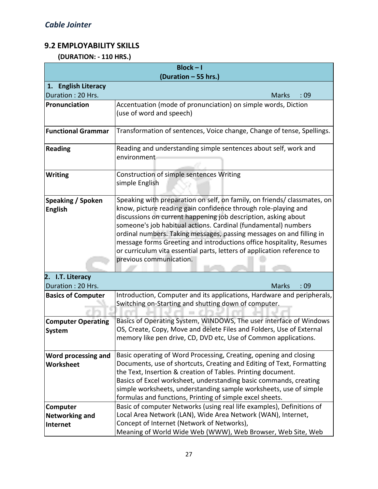# **9.2 EMPLOYABILITY SKILLS**

 **(DURATION: - 110 HRS.)**

| $Block - I$<br>(Duration - 55 hrs.)           |                                                                                                                                                                                                                                                                                                                                                                                                                                                                                                                                      |  |
|-----------------------------------------------|--------------------------------------------------------------------------------------------------------------------------------------------------------------------------------------------------------------------------------------------------------------------------------------------------------------------------------------------------------------------------------------------------------------------------------------------------------------------------------------------------------------------------------------|--|
| 1. English Literacy                           |                                                                                                                                                                                                                                                                                                                                                                                                                                                                                                                                      |  |
| Duration: 20 Hrs.                             | <b>Marks</b><br>:09                                                                                                                                                                                                                                                                                                                                                                                                                                                                                                                  |  |
| Pronunciation                                 | Accentuation (mode of pronunciation) on simple words, Diction<br>(use of word and speech)                                                                                                                                                                                                                                                                                                                                                                                                                                            |  |
| <b>Functional Grammar</b>                     | Transformation of sentences, Voice change, Change of tense, Spellings.                                                                                                                                                                                                                                                                                                                                                                                                                                                               |  |
| <b>Reading</b>                                | Reading and understanding simple sentences about self, work and<br>environment                                                                                                                                                                                                                                                                                                                                                                                                                                                       |  |
| <b>Writing</b>                                | Construction of simple sentences Writing<br>simple English                                                                                                                                                                                                                                                                                                                                                                                                                                                                           |  |
| Speaking / Spoken<br><b>English</b>           | Speaking with preparation on self, on family, on friends/ classmates, on<br>know, picture reading gain confidence through role-playing and<br>discussions on current happening job description, asking about<br>someone's job habitual actions. Cardinal (fundamental) numbers<br>ordinal numbers. Taking messages, passing messages on and filling in<br>message forms Greeting and introductions office hospitality, Resumes<br>or curriculum vita essential parts, letters of application reference to<br>previous communication. |  |
| 2. I.T. Literacy                              |                                                                                                                                                                                                                                                                                                                                                                                                                                                                                                                                      |  |
| Duration: 20 Hrs.                             | <b>Marks</b><br>:09                                                                                                                                                                                                                                                                                                                                                                                                                                                                                                                  |  |
| <b>Basics of Computer</b>                     | Introduction, Computer and its applications, Hardware and peripherals,<br>Switching on-Starting and shutting down of computer.                                                                                                                                                                                                                                                                                                                                                                                                       |  |
| <b>Computer Operating</b><br><b>System</b>    | Basics of Operating System, WINDOWS, The user interface of Windows<br>OS, Create, Copy, Move and delete Files and Folders, Use of External<br>memory like pen drive, CD, DVD etc, Use of Common applications.                                                                                                                                                                                                                                                                                                                        |  |
| Word processing and<br>Worksheet              | Basic operating of Word Processing, Creating, opening and closing<br>Documents, use of shortcuts, Creating and Editing of Text, Formatting<br>the Text, Insertion & creation of Tables. Printing document.<br>Basics of Excel worksheet, understanding basic commands, creating<br>simple worksheets, understanding sample worksheets, use of simple<br>formulas and functions, Printing of simple excel sheets.                                                                                                                     |  |
| Computer<br><b>Networking and</b><br>Internet | Basic of computer Networks (using real life examples), Definitions of<br>Local Area Network (LAN), Wide Area Network (WAN), Internet,<br>Concept of Internet (Network of Networks),<br>Meaning of World Wide Web (WWW), Web Browser, Web Site, Web                                                                                                                                                                                                                                                                                   |  |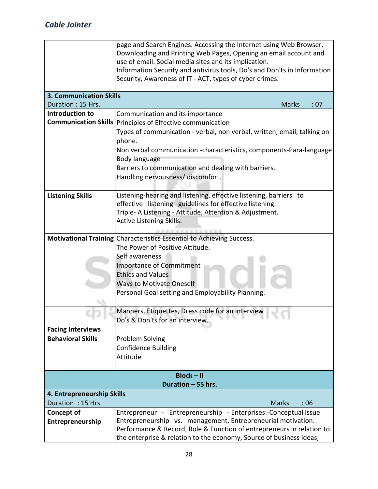|                                | page and Search Engines. Accessing the Internet using Web Browser,<br>Downloading and Printing Web Pages, Opening an email account and<br>use of email. Social media sites and its implication.<br>Information Security and antivirus tools, Do's and Don'ts in Information |  |  |
|--------------------------------|-----------------------------------------------------------------------------------------------------------------------------------------------------------------------------------------------------------------------------------------------------------------------------|--|--|
|                                | Security, Awareness of IT - ACT, types of cyber crimes.                                                                                                                                                                                                                     |  |  |
| <b>3. Communication Skills</b> |                                                                                                                                                                                                                                                                             |  |  |
| Duration: 15 Hrs.              | <b>Marks</b><br>:07                                                                                                                                                                                                                                                         |  |  |
| Introduction to                | Communication and its importance                                                                                                                                                                                                                                            |  |  |
| <b>Communication Skills</b>    | Principles of Effective communication                                                                                                                                                                                                                                       |  |  |
|                                | Types of communication - verbal, non verbal, written, email, talking on                                                                                                                                                                                                     |  |  |
|                                | phone.                                                                                                                                                                                                                                                                      |  |  |
|                                | Non verbal communication -characteristics, components-Para-language                                                                                                                                                                                                         |  |  |
|                                | Body language                                                                                                                                                                                                                                                               |  |  |
|                                | Barriers to communication and dealing with barriers.                                                                                                                                                                                                                        |  |  |
|                                | Handling nervousness/ discomfort.                                                                                                                                                                                                                                           |  |  |
|                                |                                                                                                                                                                                                                                                                             |  |  |
| <b>Listening Skills</b>        | Listening-hearing and listening, effective listening, barriers to                                                                                                                                                                                                           |  |  |
|                                | effective listening guidelines for effective listening.                                                                                                                                                                                                                     |  |  |
|                                | Triple- A Listening - Attitude, Attention & Adjustment.<br>Active Listening Skills.                                                                                                                                                                                         |  |  |
|                                |                                                                                                                                                                                                                                                                             |  |  |
|                                | Motivational Training Characteristics Essential to Achieving Success.                                                                                                                                                                                                       |  |  |
|                                | The Power of Positive Attitude.                                                                                                                                                                                                                                             |  |  |
|                                | Self awareness                                                                                                                                                                                                                                                              |  |  |
|                                | <b>Importance of Commitment</b>                                                                                                                                                                                                                                             |  |  |
|                                | <b>Ethics and Values</b>                                                                                                                                                                                                                                                    |  |  |
|                                | <b>Ways to Motivate Oneself</b>                                                                                                                                                                                                                                             |  |  |
|                                | Personal Goal setting and Employability Planning.                                                                                                                                                                                                                           |  |  |
|                                |                                                                                                                                                                                                                                                                             |  |  |
|                                | Manners, Etiquettes, Dress code for an interview                                                                                                                                                                                                                            |  |  |
|                                | Do's & Don'ts for an interview.                                                                                                                                                                                                                                             |  |  |
| <b>Facing Interviews</b>       |                                                                                                                                                                                                                                                                             |  |  |
| <b>Behavioral Skills</b>       | Problem Solving                                                                                                                                                                                                                                                             |  |  |
|                                | <b>Confidence Building</b>                                                                                                                                                                                                                                                  |  |  |
|                                | Attitude                                                                                                                                                                                                                                                                    |  |  |
|                                |                                                                                                                                                                                                                                                                             |  |  |
|                                | $Block - II$                                                                                                                                                                                                                                                                |  |  |
|                                | Duration - 55 hrs.                                                                                                                                                                                                                                                          |  |  |
| 4. Entrepreneurship Skills     |                                                                                                                                                                                                                                                                             |  |  |
| Duration: 15 Hrs.              | <b>Marks</b><br>:06                                                                                                                                                                                                                                                         |  |  |
| <b>Concept of</b>              | Entrepreneur - Entrepreneurship - Enterprises:-Conceptual issue                                                                                                                                                                                                             |  |  |
| Entrepreneurship               | Entrepreneurship vs. management, Entrepreneurial motivation.<br>Performance & Record, Role & Function of entrepreneurs in relation to                                                                                                                                       |  |  |
|                                | the enterprise & relation to the economy, Source of business ideas,                                                                                                                                                                                                         |  |  |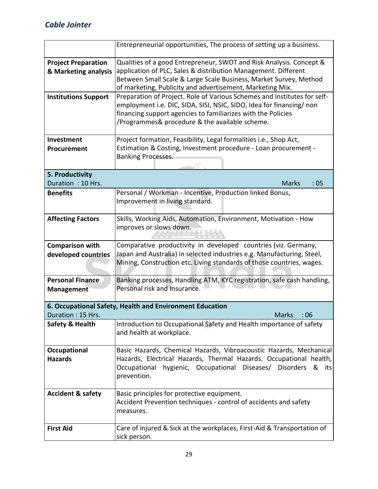|                                                    | Entrepreneurial opportunities, The process of setting up a business.                                                                                                                                                                                                    |  |
|----------------------------------------------------|-------------------------------------------------------------------------------------------------------------------------------------------------------------------------------------------------------------------------------------------------------------------------|--|
| <b>Project Preparation</b><br>& Marketing analysis | Qualities of a good Entrepreneur, SWOT and Risk Analysis. Concept &<br>application of PLC, Sales & distribution Management. Different<br>Between Small Scale & Large Scale Business, Market Survey, Method<br>of marketing, Publicity and advertisement, Marketing Mix. |  |
| <b>Institutions Support</b>                        | Preparation of Project. Role of Various Schemes and Institutes for self-<br>employment i.e. DIC, SIDA, SISI, NSIC, SIDO, Idea for financing/ non<br>financing support agencies to familiarizes with the Policies<br>/Programmes& procedure & the available scheme.      |  |
| Investment                                         | Project formation, Feasibility, Legal formalities i.e., Shop Act,                                                                                                                                                                                                       |  |
| Procurement                                        | Estimation & Costing, Investment procedure - Loan procurement -                                                                                                                                                                                                         |  |
|                                                    | Banking Processes.                                                                                                                                                                                                                                                      |  |
| 5. Productivity                                    |                                                                                                                                                                                                                                                                         |  |
| Duration: 10 Hrs.                                  | <b>Marks</b><br>:05                                                                                                                                                                                                                                                     |  |
| <b>Benefits</b>                                    | Personal / Workman - Incentive, Production linked Bonus,<br>Improvement in living standard.                                                                                                                                                                             |  |
| <b>Affecting Factors</b>                           | Skills, Working Aids, Automation, Environment, Motivation - How<br>improves or slows down.                                                                                                                                                                              |  |
| <b>Comparison with</b><br>developed countries      | Comparative productivity in developed countries (viz. Germany,<br>Japan and Australia) in selected industries e.g. Manufacturing, Steel,<br>Mining, Construction etc. Living standards of those countries, wages.                                                       |  |
| <b>Personal Finance</b><br><b>Management</b>       | Banking processes, Handling ATM, KYC registration, safe cash handling,<br>Personal risk and Insurance.                                                                                                                                                                  |  |
| Duration: 15 Hrs.                                  | 6. Occupational Safety, Health and Environment Education<br><b>Marks</b><br>: 06                                                                                                                                                                                        |  |
| <b>Safety &amp; Health</b>                         | Introduction to Occupational Safety and Health importance of safety<br>and health at workplace.                                                                                                                                                                         |  |
| Occupational<br><b>Hazards</b>                     | Basic Hazards, Chemical Hazards, Vibroacoustic Hazards, Mechanical<br>Hazards, Electrical Hazards, Thermal Hazards. Occupational health,<br>hygienic, Occupational Diseases/ Disorders &<br>Occupational<br>its<br>prevention.                                          |  |
| <b>Accident &amp; safety</b>                       | Basic principles for protective equipment.<br>Accident Prevention techniques - control of accidents and safety<br>measures.                                                                                                                                             |  |
| <b>First Aid</b>                                   | Care of injured & Sick at the workplaces, First-Aid & Transportation of<br>sick person.                                                                                                                                                                                 |  |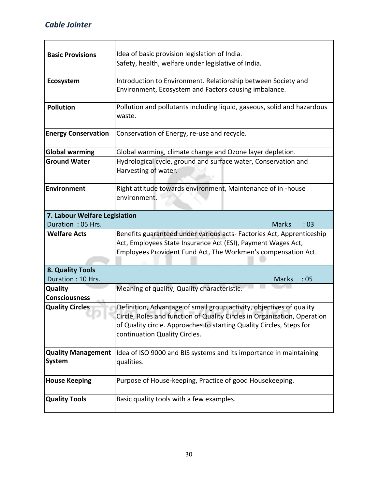| <b>Basic Provisions</b>               | Idea of basic provision legislation of India.                            |  |  |  |  |  |  |  |  |
|---------------------------------------|--------------------------------------------------------------------------|--|--|--|--|--|--|--|--|
|                                       | Safety, health, welfare under legislative of India.                      |  |  |  |  |  |  |  |  |
| Ecosystem                             | Introduction to Environment. Relationship between Society and            |  |  |  |  |  |  |  |  |
|                                       | Environment, Ecosystem and Factors causing imbalance.                    |  |  |  |  |  |  |  |  |
|                                       |                                                                          |  |  |  |  |  |  |  |  |
| <b>Pollution</b>                      | Pollution and pollutants including liquid, gaseous, solid and hazardous  |  |  |  |  |  |  |  |  |
|                                       | waste.                                                                   |  |  |  |  |  |  |  |  |
|                                       |                                                                          |  |  |  |  |  |  |  |  |
| <b>Energy Conservation</b>            | Conservation of Energy, re-use and recycle.                              |  |  |  |  |  |  |  |  |
| <b>Global warming</b>                 | Global warming, climate change and Ozone layer depletion.                |  |  |  |  |  |  |  |  |
| <b>Ground Water</b>                   | Hydrological cycle, ground and surface water, Conservation and           |  |  |  |  |  |  |  |  |
|                                       | Harvesting of water.                                                     |  |  |  |  |  |  |  |  |
|                                       |                                                                          |  |  |  |  |  |  |  |  |
| Environment                           | Right attitude towards environment, Maintenance of in -house             |  |  |  |  |  |  |  |  |
|                                       | environment.                                                             |  |  |  |  |  |  |  |  |
|                                       |                                                                          |  |  |  |  |  |  |  |  |
| 7. Labour Welfare Legislation         |                                                                          |  |  |  |  |  |  |  |  |
| Duration: 05 Hrs.                     | <b>Marks</b><br>: 03                                                     |  |  |  |  |  |  |  |  |
| <b>Welfare Acts</b>                   | Benefits guaranteed under various acts- Factories Act, Apprenticeship    |  |  |  |  |  |  |  |  |
|                                       | Act, Employees State Insurance Act (ESI), Payment Wages Act,             |  |  |  |  |  |  |  |  |
|                                       | Employees Provident Fund Act, The Workmen's compensation Act.            |  |  |  |  |  |  |  |  |
|                                       |                                                                          |  |  |  |  |  |  |  |  |
|                                       |                                                                          |  |  |  |  |  |  |  |  |
| 8. Quality Tools<br>Duration: 10 Hrs. | :05<br>Marks                                                             |  |  |  |  |  |  |  |  |
|                                       |                                                                          |  |  |  |  |  |  |  |  |
| Quality<br><b>Consciousness</b>       | Meaning of quality, Quality characteristic.                              |  |  |  |  |  |  |  |  |
| <b>Quality Circles</b>                | Definition, Advantage of small group activity, objectives of quality     |  |  |  |  |  |  |  |  |
|                                       | Circle, Roles and function of Quality Circles in Organization, Operation |  |  |  |  |  |  |  |  |
|                                       | of Quality circle. Approaches to starting Quality Circles, Steps for     |  |  |  |  |  |  |  |  |
|                                       | continuation Quality Circles.                                            |  |  |  |  |  |  |  |  |
|                                       |                                                                          |  |  |  |  |  |  |  |  |
| <b>Quality Management</b>             | Idea of ISO 9000 and BIS systems and its importance in maintaining       |  |  |  |  |  |  |  |  |
| <b>System</b>                         | qualities.                                                               |  |  |  |  |  |  |  |  |
|                                       |                                                                          |  |  |  |  |  |  |  |  |
| <b>House Keeping</b>                  | Purpose of House-keeping, Practice of good Housekeeping.                 |  |  |  |  |  |  |  |  |
| <b>Quality Tools</b>                  | Basic quality tools with a few examples.                                 |  |  |  |  |  |  |  |  |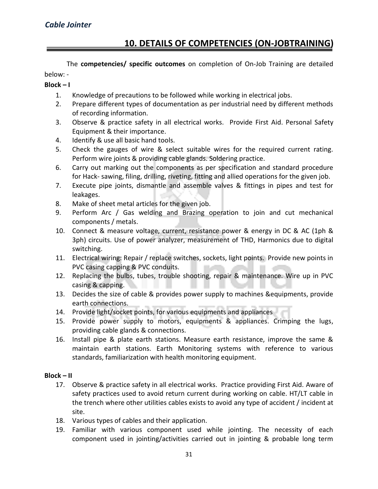# **10. DETAILS OF COMPETENCIES (ON-JOBTRAINING)**

The **competencies/ specific outcomes** on completion of On-Job Training are detailed below: -

#### $Block - I$

- 1. Knowledge of precautions to be followed while working in electrical jobs.
- 2. Prepare different types of documentation as per industrial need by different methods of recording information.
- 3. Observe & practice safety in all electrical works. Provide First Aid. Personal Safety Equipment & their importance.
- 4. Identify & use all basic hand tools.
- 5. Check the gauges of wire & select suitable wires for the required current rating. Perform wire joints & providing cable glands. Soldering practice.
- 6. Carry out marking out the components as per specification and standard procedure for Hack- sawing, filing, drilling, riveting, fitting and allied operations for the given job.
- 7. Execute pipe joints, dismantle and assemble valves & fittings in pipes and test for leakages.
- 8. Make of sheet metal articles for the given job.
- 9. Perform Arc / Gas welding and Brazing operation to join and cut mechanical components / metals.
- 10. Connect & measure voltage, current, resistance power & energy in DC & AC (1ph & 3ph) circuits. Use of power analyzer, measurement of THD, Harmonics due to digital switching.
- 11. Electrical wiring: Repair / replace switches, sockets, light points. Provide new points in PVC casing capping & PVC conduits.
- 12. Replacing the bulbs, tubes, trouble shooting, repair & maintenance. Wire up in PVC casing & capping.
- 13. Decides the size of cable & provides power supply to machines &equipments, provide earth connections.
- 14. Provide light/socket points, for various equipments and appliances
- 15. Provide power supply to motors, equipments & appliances. Crimping the lugs, providing cable glands & connections.
- 16. Install pipe & plate earth stations. Measure earth resistance, improve the same & maintain earth stations. Earth Monitoring systems with reference to various standards, familiarization with health monitoring equipment.

#### **Block – II**

- 17. Observe & practice safety in all electrical works. Practice providing First Aid. Aware of safety practices used to avoid return current during working on cable. HT/LT cable in the trench where other utilities cables exists to avoid any type of accident / incident at site.
- 18. Various types of cables and their application.
- 19. Familiar with various component used while jointing. The necessity of each component used in jointing/activities carried out in jointing & probable long term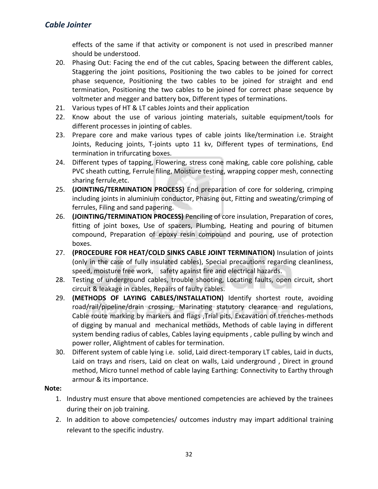effects of the same if that activity or component is not used in prescribed manner should be understood.

- 20. Phasing Out: Facing the end of the cut cables, Spacing between the different cables, Staggering the joint positions, Positioning the two cables to be joined for correct phase sequence, Positioning the two cables to be joined for straight and end termination, Positioning the two cables to be joined for correct phase sequence by voltmeter and megger and battery box, Different types of terminations.
- 21. Various types of HT & LT cables Joints and their application
- 22. Know about the use of various jointing materials, suitable equipment/tools for different processes in jointing of cables.
- 23. Prepare core and make various types of cable joints like/termination i.e. Straight Joints, Reducing joints, T-joints upto 11 kv, Different types of terminations, End termination in trifurcating boxes.
- 24. Different types of tapping, Flowering, stress cone making, cable core polishing, cable PVC sheath cutting, Ferrule filing, Moisture testing, wrapping copper mesh, connecting sharing ferrule,etc.
- 25. **(JOINTING/TERMINATION PROCESS)** End preparation of core for soldering, crimping including joints in aluminium conductor, Phasing out, Fitting and sweating/crimping of ferrules, Filing and sand papering.
- 26. **(JOINTING/TERMINATION PROCESS)** Penciling of core insulation, Preparation of cores, fitting of joint boxes, Use of spacers, Plumbing, Heating and pouring of bitumen compound, Preparation of epoxy resin compound and pouring, use of protection boxes.
- 27. **(PROCEDURE FOR HEAT/COLD SINKS CABLE JOINT TERMINATION)** Insulation of joints (only in the case of fully insulated cables), Special precautions regarding cleanliness, speed, moisture free work, safety against fire and electrical hazards.
- 28. Testing of underground cables, trouble shooting, Locating faults, open circuit, short circuit & leakage in cables, Repairs of faulty cables.
- 29. **(METHODS OF LAYING CABLES/INSTALLATION)** Identify shortest route, avoiding road/rail/pipeline/drain crossing, Marinating statutory clearance and regulations, Cable route marking by markers and flags ,Trial pits, Excavation of trenches-methods of digging by manual and mechanical methods, Methods of cable laying in different system bending radius of cables, Cables laying equipments , cable pulling by winch and power roller, Alightment of cables for termination.
- 30. Different system of cable lying i.e. solid, Laid direct-temporary LT cables, Laid in ducts, Laid on trays and risers, Laid on cleat on walls, Laid underground , Direct in ground method, Micro tunnel method of cable laying Earthing: Connectivity to Earthy through armour & its importance.

#### **Note:**

- 1. Industry must ensure that above mentioned competencies are achieved by the trainees during their on job training.
- 2. In addition to above competencies/ outcomes industry may impart additional training relevant to the specific industry.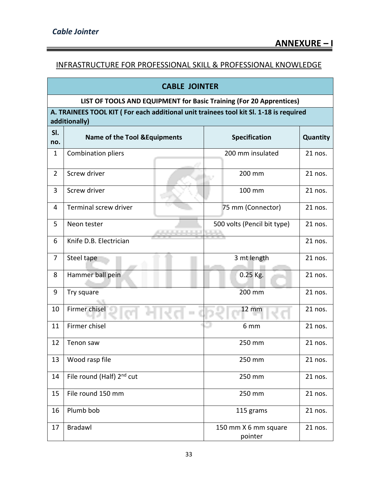### INFRASTRUCTURE FOR PROFESSIONAL SKILL & PROFESSIONAL KNOWLEDGE

| <b>CABLE JOINTER</b>                                                                                   |                                          |                                               |          |  |  |  |  |  |  |  |
|--------------------------------------------------------------------------------------------------------|------------------------------------------|-----------------------------------------------|----------|--|--|--|--|--|--|--|
| LIST OF TOOLS AND EQUIPMENT for Basic Training (For 20 Apprentices)                                    |                                          |                                               |          |  |  |  |  |  |  |  |
| A. TRAINEES TOOL KIT (For each additional unit trainees tool kit Sl. 1-18 is required<br>additionally) |                                          |                                               |          |  |  |  |  |  |  |  |
| SI.<br>no.                                                                                             | <b>Name of the Tool &amp; Equipments</b> | <b>Specification</b>                          | Quantity |  |  |  |  |  |  |  |
| $\mathbf{1}$                                                                                           | Combination pliers                       | 200 mm insulated                              | 21 nos.  |  |  |  |  |  |  |  |
| $\overline{2}$                                                                                         | Screw driver                             | 200 mm                                        | 21 nos.  |  |  |  |  |  |  |  |
| 3                                                                                                      | Screw driver                             | 100 mm                                        | 21 nos.  |  |  |  |  |  |  |  |
| 4                                                                                                      | Terminal screw driver                    | 75 mm (Connector)                             | 21 nos.  |  |  |  |  |  |  |  |
| 5                                                                                                      | Neon tester                              | 500 volts (Pencil bit type)<br><b>COMPANY</b> | 21 nos.  |  |  |  |  |  |  |  |
| 6                                                                                                      | Knife D.B. Electrician                   |                                               | 21 nos.  |  |  |  |  |  |  |  |
| $\overline{7}$                                                                                         | Steel tape                               | 3 mt length                                   | 21 nos.  |  |  |  |  |  |  |  |
| 8                                                                                                      | Hammer ball pein                         | 0.25 Kg.                                      | 21 nos.  |  |  |  |  |  |  |  |
| 9                                                                                                      | Try square                               | 200 mm                                        | 21 nos.  |  |  |  |  |  |  |  |
| 10                                                                                                     | Firmer chisel                            | <b>12 mm</b>                                  | 21 nos.  |  |  |  |  |  |  |  |
| 11                                                                                                     | Firmer chisel                            | 6 mm                                          | 21 nos.  |  |  |  |  |  |  |  |
| 12                                                                                                     | Tenon saw                                | 250 mm                                        | 21 nos.  |  |  |  |  |  |  |  |
| 13                                                                                                     | Wood rasp file                           | 250 mm                                        | 21 nos.  |  |  |  |  |  |  |  |
| 14                                                                                                     | File round (Half) 2nd cut                | 250 mm                                        | 21 nos.  |  |  |  |  |  |  |  |
| 15                                                                                                     | File round 150 mm                        | 250 mm                                        | 21 nos.  |  |  |  |  |  |  |  |
| 16                                                                                                     | Plumb bob                                | 115 grams                                     | 21 nos.  |  |  |  |  |  |  |  |
| 17                                                                                                     | <b>Bradawl</b>                           | 150 mm X 6 mm square<br>pointer               | 21 nos.  |  |  |  |  |  |  |  |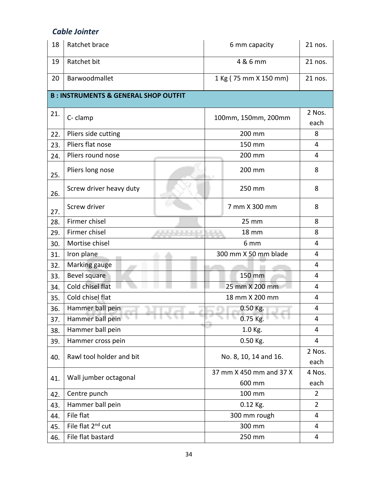| 18  | Ratchet brace                                   | 6 mm capacity           | 21 nos.        |  |  |  |  |  |  |
|-----|-------------------------------------------------|-------------------------|----------------|--|--|--|--|--|--|
| 19  | Ratchet bit                                     | 4 & 6 mm                | 21 nos.        |  |  |  |  |  |  |
| 20  | Barwoodmallet                                   | 1 Kg (75 mm X 150 mm)   | 21 nos.        |  |  |  |  |  |  |
|     | <b>B: INSTRUMENTS &amp; GENERAL SHOP OUTFIT</b> |                         |                |  |  |  |  |  |  |
| 21. | C- clamp                                        | 100mm, 150mm, 200mm     | 2 Nos.<br>each |  |  |  |  |  |  |
| 22. | Pliers side cutting                             | 200 mm                  | 8              |  |  |  |  |  |  |
| 23. | Pliers flat nose                                | 150 mm                  | 4              |  |  |  |  |  |  |
| 24. | Pliers round nose                               | 200 mm                  | 4              |  |  |  |  |  |  |
| 25. | Pliers long nose                                | 200 mm                  | 8              |  |  |  |  |  |  |
| 26. | Screw driver heavy duty                         | 250 mm                  | 8              |  |  |  |  |  |  |
| 27. | Screw driver                                    | 7 mm X 300 mm           | 8              |  |  |  |  |  |  |
| 28. | Firmer chisel                                   | 25 mm                   | 8              |  |  |  |  |  |  |
| 29. | Firmer chisel                                   | <b>18 mm</b>            | 8              |  |  |  |  |  |  |
| 30. | Mortise chisel                                  | 6 mm                    | 4              |  |  |  |  |  |  |
| 31. | Iron plane                                      | 300 mm X 50 mm blade    | 4              |  |  |  |  |  |  |
| 32. | <b>Marking gauge</b>                            |                         | 4              |  |  |  |  |  |  |
| 33. | Bevel square                                    | 150 mm                  | 4              |  |  |  |  |  |  |
| 34. | Cold chisel flat                                | 25 mm X 200 mm          | 4              |  |  |  |  |  |  |
| 35. | Cold chisel flat                                | 18 mm X 200 mm          | 4              |  |  |  |  |  |  |
| 36. | Hammer ball pein                                | 0.50 Kg.                | 4              |  |  |  |  |  |  |
| 37. | Hammer ball pein                                | 'n,<br>$0.75$ Kg.       | 4              |  |  |  |  |  |  |
| 38. | Hammer ball pein                                | 1.0 Kg.                 | 4              |  |  |  |  |  |  |
| 39. | Hammer cross pein                               | 0.50 Kg.                | 4              |  |  |  |  |  |  |
| 40. | Rawl tool holder and bit                        | No. 8, 10, 14 and 16.   | 2 Nos.<br>each |  |  |  |  |  |  |
|     |                                                 | 37 mm X 450 mm and 37 X | 4 Nos.         |  |  |  |  |  |  |
| 41. | Wall jumber octagonal                           | 600 mm                  | each           |  |  |  |  |  |  |
| 42. | Centre punch                                    | 100 mm                  | $\overline{2}$ |  |  |  |  |  |  |
| 43. | Hammer ball pein                                | 0.12 Kg.                | $\overline{2}$ |  |  |  |  |  |  |
| 44. | File flat                                       | 300 mm rough            | 4              |  |  |  |  |  |  |
| 45. | File flat 2 <sup>nd</sup> cut                   | 300 mm                  | 4              |  |  |  |  |  |  |
| 46. | File flat bastard                               | 250 mm                  | 4              |  |  |  |  |  |  |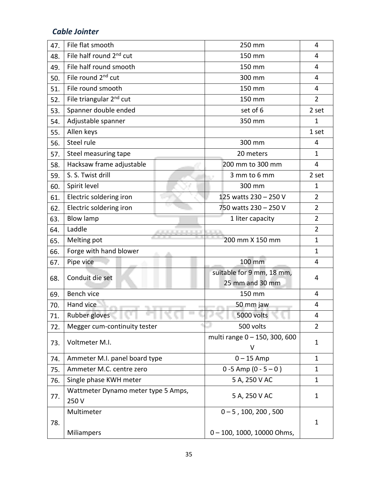| 47. | File flat smooth                                  | 250 mm                        | 4              |  |
|-----|---------------------------------------------------|-------------------------------|----------------|--|
| 48. | File half round 2 <sup>nd</sup> cut               | 150 mm                        | 4              |  |
| 49. | File half round smooth                            | 150 mm                        | 4              |  |
| 50. | File round 2 <sup>nd</sup> cut                    | 300 mm                        | 4              |  |
| 51. | File round smooth                                 | 150 mm                        | 4              |  |
| 52. | File triangular 2 <sup>nd</sup> cut               | 150 mm                        | $\overline{2}$ |  |
| 53. | Spanner double ended                              | set of 6                      | 2 set          |  |
| 54. | Adjustable spanner                                | 350 mm                        | $\mathbf 1$    |  |
| 55. | Allen keys                                        |                               | 1 set          |  |
| 56. | Steel rule                                        | 300 mm                        | 4              |  |
| 57. | Steel measuring tape                              | 20 meters                     | $\mathbf{1}$   |  |
| 58. | Hacksaw frame adjustable                          | 200 mm to 300 mm              | 4              |  |
| 59. | S. S. Twist drill                                 | 3 mm to 6 mm                  | 2 set          |  |
| 60. | Spirit level                                      | 300 mm                        | $\mathbf{1}$   |  |
| 61. | Electric soldering iron                           | 125 watts 230 - 250 V         | $\overline{2}$ |  |
| 62. | Electric soldering iron                           | 750 watts 230 - 250 V         | $\overline{2}$ |  |
| 63. | <b>Blow lamp</b>                                  | 1 liter capacity              | $\overline{2}$ |  |
| 64. | Laddle                                            | <b>CONTRACT</b>               | $\overline{2}$ |  |
| 65. | Melting pot                                       | 200 mm X 150 mm               | $\mathbf{1}$   |  |
| 66. | Forge with hand blower                            |                               | $\mathbf{1}$   |  |
| 67. | Pipe vice                                         | 100 mm                        | 4              |  |
| 68. | Conduit die set                                   | suitable for 9 mm, 18 mm,     | 4              |  |
|     |                                                   | 25 mm and 30 mm               |                |  |
| 69. | Bench vice                                        | 150 mm                        | 4              |  |
| 70. | Hand vice                                         | 50 mm jaw                     | 4              |  |
| 71. | Rubber gloves<br>. .<br><b><i>The The Lin</i></b> | 5000 volts<br>76 L            | 4              |  |
| 72. | Megger cum-continuity tester                      | 500 volts                     | $\overline{2}$ |  |
| 73. | Voltmeter M.I.                                    | multi range 0 - 150, 300, 600 | $\mathbf 1$    |  |
|     |                                                   | V                             |                |  |
| 74. | Ammeter M.I. panel board type                     | $0 - 15$ Amp                  | $\mathbf{1}$   |  |
| 75. | Ammeter M.C. centre zero                          | $0 - 5$ Amp $(0 - 5 - 0)$     | $\mathbf{1}$   |  |
| 76. | Single phase KWH meter                            | 5 A, 250 V AC                 | $\mathbf{1}$   |  |
| 77. | Wattmeter Dynamo meter type 5 Amps,               | 5 A, 250 V AC                 | $\mathbf 1$    |  |
|     | 250 V                                             |                               |                |  |
|     | Multimeter                                        | $0 - 5$ , 100, 200, 500       |                |  |
| 78. |                                                   |                               | 1              |  |
|     | <b>Miliampers</b>                                 | $0 - 100$ , 1000, 10000 Ohms, |                |  |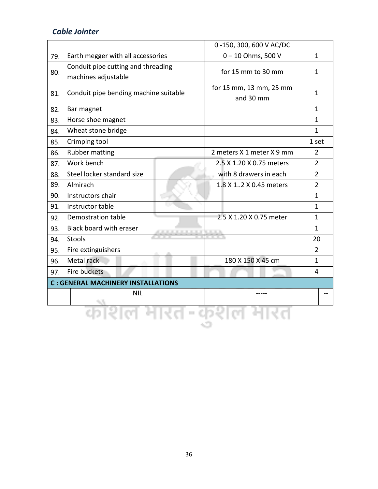|              |                                                           |  | 0-150, 300, 600 V AC/DC              |                |  |  |  |  |
|--------------|-----------------------------------------------------------|--|--------------------------------------|----------------|--|--|--|--|
| 79.          | Earth megger with all accessories                         |  | 0-10 Ohms, 500 V                     | $\mathbf{1}$   |  |  |  |  |
| 80.          | Conduit pipe cutting and threading<br>machines adjustable |  | for 15 mm to 30 mm                   | 1              |  |  |  |  |
| 81.          | Conduit pipe bending machine suitable                     |  | for 15 mm, 13 mm, 25 mm<br>and 30 mm | $\mathbf{1}$   |  |  |  |  |
| 82.          | Bar magnet                                                |  |                                      | $\mathbf{1}$   |  |  |  |  |
| 83.          | Horse shoe magnet                                         |  |                                      | $\mathbf{1}$   |  |  |  |  |
| 84.          | Wheat stone bridge                                        |  |                                      | $\mathbf{1}$   |  |  |  |  |
| 85.          | Crimping tool                                             |  |                                      | 1 set          |  |  |  |  |
| 86.          | <b>Rubber matting</b>                                     |  | 2 meters X 1 meter X 9 mm            | $\overline{2}$ |  |  |  |  |
| 87.          | Work bench                                                |  | 2.5 X 1.20 X 0.75 meters             | $\overline{2}$ |  |  |  |  |
| 88.          | Steel locker standard size                                |  | with 8 drawers in each               | $\overline{2}$ |  |  |  |  |
| 89.          | Almirach                                                  |  | 1.8 X 12 X 0.45 meters               | $\overline{2}$ |  |  |  |  |
| 90.          | Instructors chair                                         |  |                                      | $\mathbf{1}$   |  |  |  |  |
| 91.          | Instructor table                                          |  |                                      | $\mathbf{1}$   |  |  |  |  |
| 92.          | Demostration table                                        |  | 2.5 X 1.20 X 0.75 meter              | $\mathbf{1}$   |  |  |  |  |
| 93.          | Black board with eraser                                   |  | <b>11 11 11</b>                      | $\mathbf{1}$   |  |  |  |  |
| 94.          | Stools                                                    |  |                                      | 20             |  |  |  |  |
| 95.          | Fire extinguishers                                        |  |                                      | $\overline{2}$ |  |  |  |  |
| 96.          | Metal rack                                                |  | 180 X 150 X 45 cm                    | $\mathbf{1}$   |  |  |  |  |
| 97.          | Fire buckets                                              |  |                                      | $\overline{4}$ |  |  |  |  |
|              | <b>C: GENERAL MACHINERY INSTALLATIONS</b>                 |  |                                      |                |  |  |  |  |
|              | <b>NIL</b>                                                |  |                                      |                |  |  |  |  |
| शिल भारत-कशल |                                                           |  |                                      |                |  |  |  |  |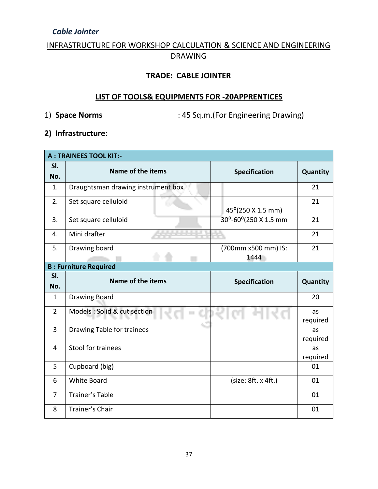# INFRASTRUCTURE FOR WORKSHOP CALCULATION & SCIENCE AND ENGINEERING DRAWING

## **TRADE: CABLE JOINTER**

## **LIST OF TOOLS& EQUIPMENTS FOR -20APPRENTICES**

1) **Space Norms** : 45 Sq.m.(For Engineering Drawing)

# **2) Infrastructure:**

| <b>A: TRAINEES TOOL KIT:-</b> |                                    |                             |                |  |  |  |  |  |  |  |
|-------------------------------|------------------------------------|-----------------------------|----------------|--|--|--|--|--|--|--|
| SI.<br>No.                    | Name of the items                  | Specification               | Quantity       |  |  |  |  |  |  |  |
| 1.                            | Draughtsman drawing instrument box |                             | 21             |  |  |  |  |  |  |  |
| 2.                            | Set square celluloid               | 45° (250 X 1.5 mm)          | 21             |  |  |  |  |  |  |  |
| 3.                            | Set square celluloid               | 30°-60°(250 X 1.5 mm        | 21             |  |  |  |  |  |  |  |
| 4.                            | Mini drafter                       |                             | 21             |  |  |  |  |  |  |  |
| 5.                            | Drawing board                      | (700mm x500 mm) IS:<br>1444 | 21             |  |  |  |  |  |  |  |
|                               | <b>B: Furniture Required</b>       |                             |                |  |  |  |  |  |  |  |
| SI.                           | Name of the items                  | Specification               | Quantity       |  |  |  |  |  |  |  |
| No.                           |                                    |                             |                |  |  |  |  |  |  |  |
|                               |                                    |                             |                |  |  |  |  |  |  |  |
| $\mathbf{1}$                  | <b>Drawing Board</b>               |                             | 20             |  |  |  |  |  |  |  |
| $\overline{2}$                | Models : Solid & cut section       |                             | as<br>required |  |  |  |  |  |  |  |
| 3                             | Drawing Table for trainees         |                             | as<br>required |  |  |  |  |  |  |  |
| 4                             | Stool for trainees                 |                             | as<br>required |  |  |  |  |  |  |  |
| 5                             | Cupboard (big)                     |                             | 01             |  |  |  |  |  |  |  |
| 6                             | <b>White Board</b>                 | (size: 8ft. x 4ft.)         | 01             |  |  |  |  |  |  |  |
| 7                             | <b>Trainer's Table</b>             |                             | 01             |  |  |  |  |  |  |  |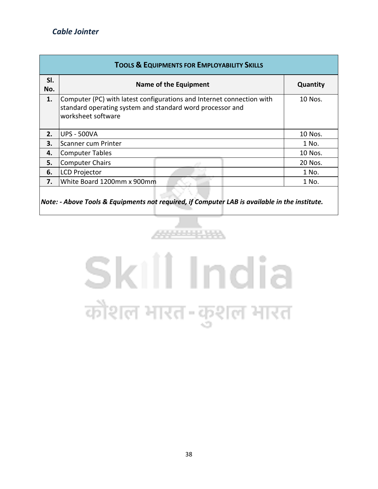| <b>TOOLS &amp; EQUIPMENTS FOR EMPLOYABILITY SKILLS</b> |                                                                                                                                                          |          |  |  |  |  |  |  |
|--------------------------------------------------------|----------------------------------------------------------------------------------------------------------------------------------------------------------|----------|--|--|--|--|--|--|
| SI.<br>No.                                             | Name of the Equipment                                                                                                                                    | Quantity |  |  |  |  |  |  |
| 1.                                                     | Computer (PC) with latest configurations and Internet connection with<br>standard operating system and standard word processor and<br>worksheet software | 10 Nos.  |  |  |  |  |  |  |
| 2.                                                     | <b>UPS - 500VA</b>                                                                                                                                       | 10 Nos.  |  |  |  |  |  |  |
| 3.                                                     | Scanner cum Printer                                                                                                                                      | 1 No.    |  |  |  |  |  |  |
| 4.                                                     | <b>Computer Tables</b>                                                                                                                                   | 10 Nos.  |  |  |  |  |  |  |
| 5.                                                     | <b>Computer Chairs</b>                                                                                                                                   | 20 Nos.  |  |  |  |  |  |  |
| 6.                                                     | <b>LCD Projector</b>                                                                                                                                     | 1 No.    |  |  |  |  |  |  |
| 7.                                                     | White Board 1200mm x 900mm                                                                                                                               | 1 No.    |  |  |  |  |  |  |
|                                                        |                                                                                                                                                          |          |  |  |  |  |  |  |

*Note: - Above Tools & Equipments not required, if Computer LAB is available in the institute.*

# Skill India कौशल भारत-कुशल भारत

ووويوسيت